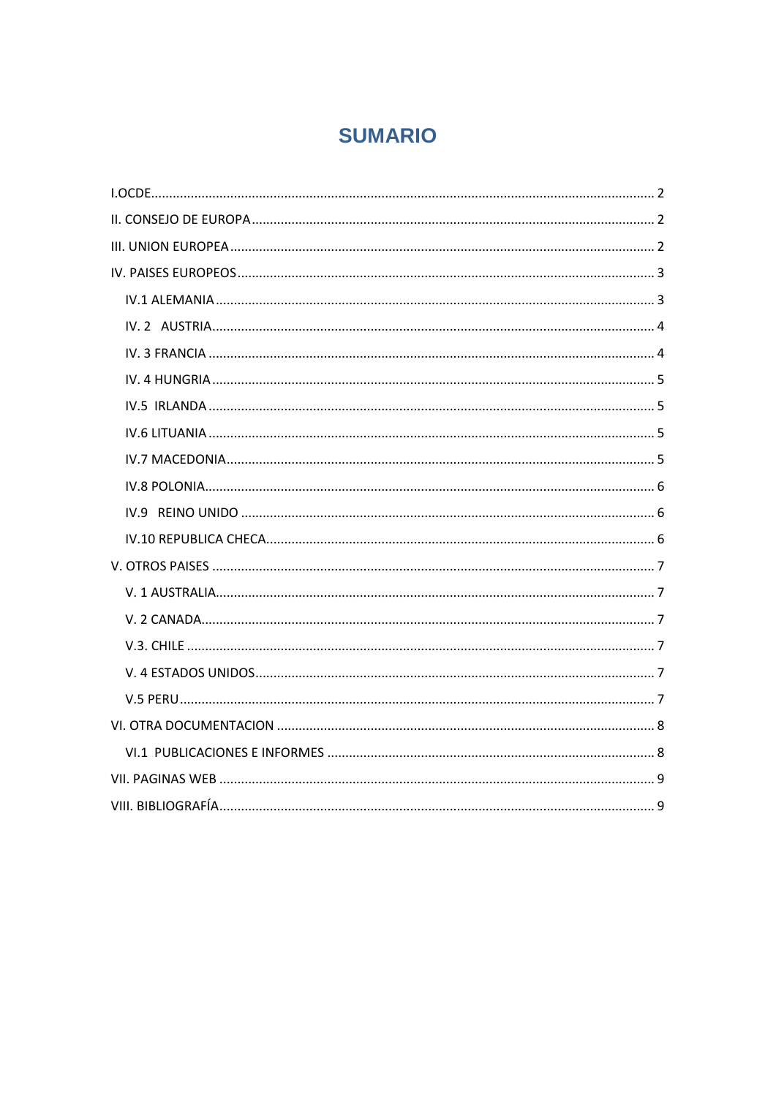# **SUMARIO**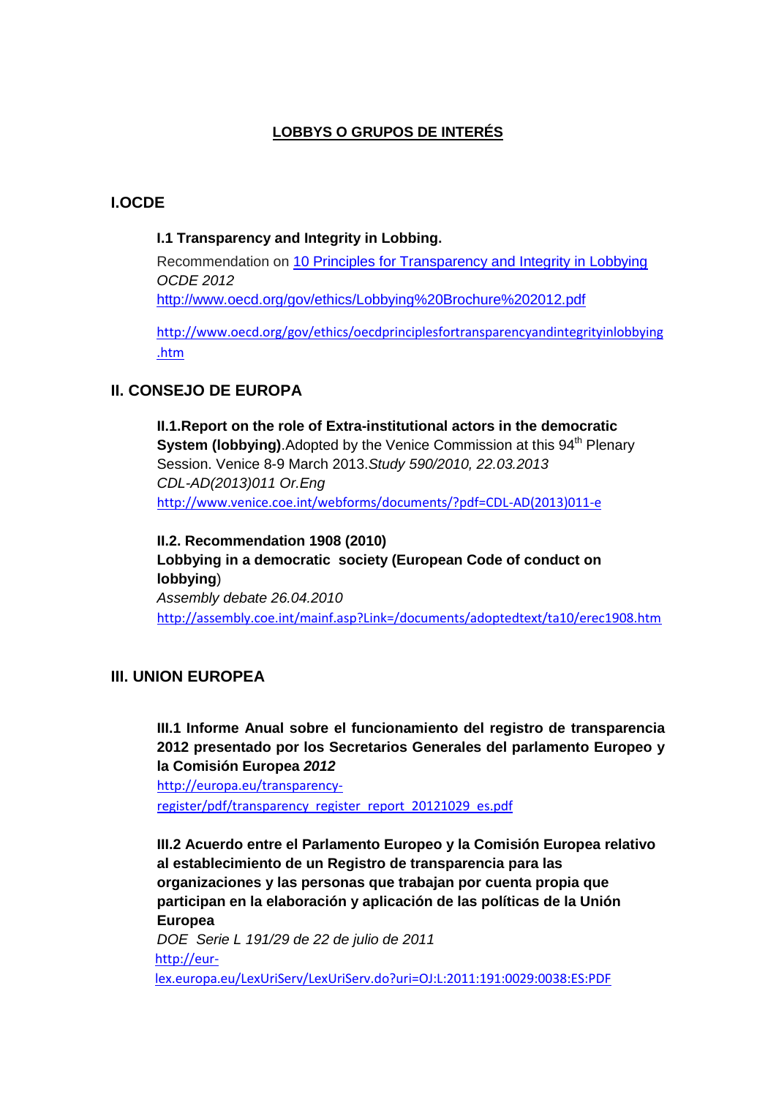# **LOBBYS O GRUPOS DE INTERÉS**

# <span id="page-1-0"></span>**I.OCDE**

### **I.1 Transparency and Integrity in Lobbing.**

Recommendation on [10 Principles for Transparency and Integrity in Lobbying](http://www.oecd.org/gov/ethics/Lobbying%20Brochure%202012.pdf) *OCDE 2012* <http://www.oecd.org/gov/ethics/Lobbying%20Brochure%202012.pdf>

[http://www.oecd.org/gov/ethics/oecdprinciplesfortransparencyandintegrityinlobbying](http://www.oecd.org/gov/ethics/oecdprinciplesfortransparencyandintegrityinlobbying.htm) [.htm](http://www.oecd.org/gov/ethics/oecdprinciplesfortransparencyandintegrityinlobbying.htm)

# <span id="page-1-1"></span>**II. CONSEJO DE EUROPA**

**II.1.Report on the role of Extra-institutional actors in the democratic System (lobbying)**. Adopted by the Venice Commission at this 94<sup>th</sup> Plenary Session. Venice 8-9 March 2013.*Study 590/2010, 22.03.2013 CDL-AD(2013)011 Or.Eng* [http://www.venice.coe.int/webforms/documents/?pdf=CDL-AD\(2013\)011-e](http://www.venice.coe.int/webforms/documents/?pdf=CDL-AD(2013)011-e)

**II.2. Recommendation 1908 (2010) Lobbying in a democratic society (European Code of conduct on lobbying**) *Assembly debate 26.04.2010* <http://assembly.coe.int/mainf.asp?Link=/documents/adoptedtext/ta10/erec1908.htm>

# <span id="page-1-2"></span>**III. UNION EUROPEA**

**III.1 Informe Anual sobre el funcionamiento del registro de transparencia 2012 presentado por los Secretarios Generales del parlamento Europeo y la Comisión Europea** *2012*

[http://europa.eu/transparency](http://europa.eu/transparency-register/pdf/transparency_register_report_20121029_es.pdf)[register/pdf/transparency\\_register\\_report\\_20121029\\_es.pdf](http://europa.eu/transparency-register/pdf/transparency_register_report_20121029_es.pdf)

**III.2 Acuerdo entre el Parlamento Europeo y la Comisión Europea relativo al establecimiento de un Registro de transparencia para las organizaciones y las personas que trabajan por cuenta propia que participan en la elaboración y aplicación de las políticas de la Unión Europea**

*DOE Serie L 191/29 de 22 de julio de 2011* [http://eur](http://eur-lex.europa.eu/LexUriServ/LexUriServ.do?uri=OJ:L:2011:191:0029:0038:ES:PDF)[lex.europa.eu/LexUriServ/LexUriServ.do?uri=OJ:L:2011:191:0029:0038:ES:PDF](http://eur-lex.europa.eu/LexUriServ/LexUriServ.do?uri=OJ:L:2011:191:0029:0038:ES:PDF)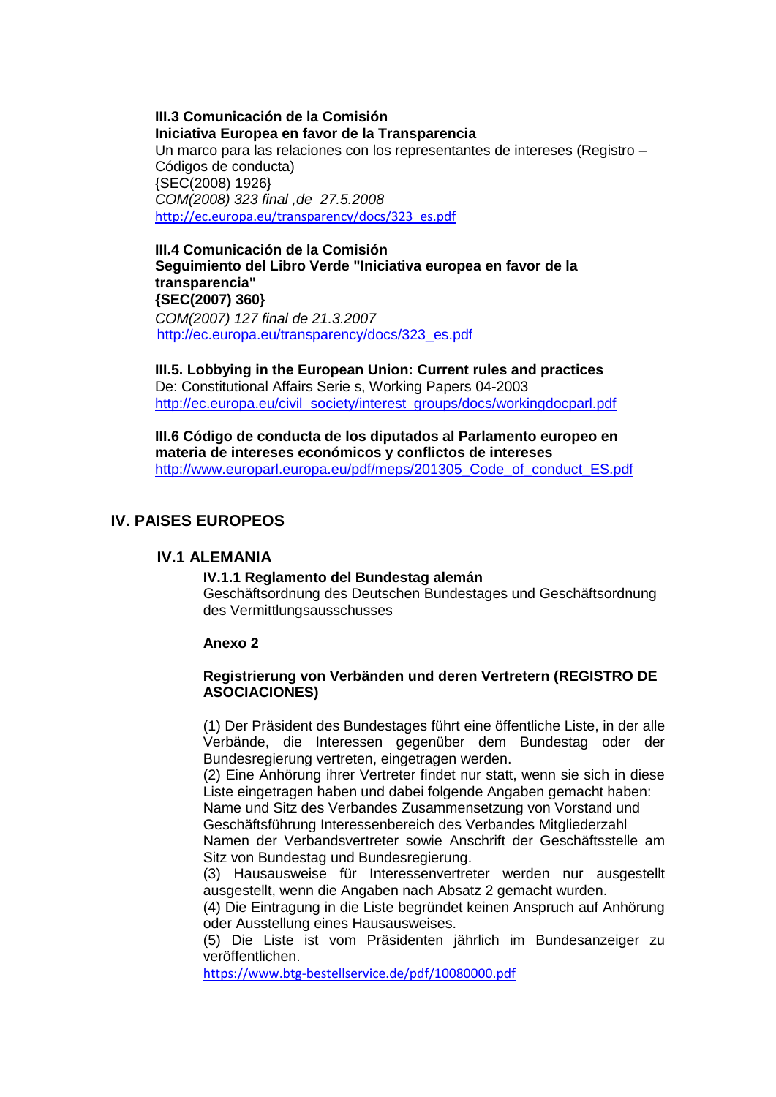**III.3 Comunicación de la Comisión Iniciativa Europea en favor de la Transparencia** Un marco para las relaciones con los representantes de intereses (Registro – Códigos de conducta) {SEC(2008) 1926} *COM(2008) 323 final ,de 27.5.2008* [http://ec.europa.eu/transparency/docs/323\\_es.pdf](http://ec.europa.eu/transparency/docs/323_es.pdf)

### **III.4 Comunicación de la Comisión Seguimiento del Libro Verde "Iniciativa europea en favor de la transparencia" {SEC(2007) 360}** *COM(2007) 127 final de 21.3.2007* [http://ec.europa.eu/transparency/docs/323\\_es.pdf](http://ec.europa.eu/transparency/docs/323_es.pdf)

**III.5. Lobbying in the European Union: Current rules and practices**  De: Constitutional Affairs Serie s, Working Papers 04-2003 [http://ec.europa.eu/civil\\_society/interest\\_groups/docs/workingdocparl.pdf](http://ec.europa.eu/civil_society/interest_groups/docs/workingdocparl.pdf)

**III.6 Código de conducta de los diputados al Parlamento europeo en materia de intereses económicos y conflictos de intereses** [http://www.europarl.europa.eu/pdf/meps/201305\\_Code\\_of\\_conduct\\_ES.pdf](http://www.europarl.europa.eu/pdf/meps/201305_Code_of_conduct_ES.pdf)

# <span id="page-2-1"></span><span id="page-2-0"></span>**IV. PAISES EUROPEOS**

### **IV.1 ALEMANIA**

#### **IV.1.1 Reglamento del Bundestag alemán**

Geschäftsordnung des Deutschen Bundestages und Geschäftsordnung des Vermittlungsausschusses

#### **Anexo 2**

#### **Registrierung von Verbänden und deren Vertretern (REGISTRO DE ASOCIACIONES)**

(1) Der Präsident des Bundestages führt eine öffentliche Liste, in der alle Verbände, die Interessen gegenüber dem Bundestag oder der Bundesregierung vertreten, eingetragen werden.

(2) Eine Anhörung ihrer Vertreter findet nur statt, wenn sie sich in diese Liste eingetragen haben und dabei folgende Angaben gemacht haben: Name und Sitz des Verbandes Zusammensetzung von Vorstand und

Geschäftsführung Interessenbereich des Verbandes Mitgliederzahl

Namen der Verbandsvertreter sowie Anschrift der Geschäftsstelle am Sitz von Bundestag und Bundesregierung.

(3) Hausausweise für Interessenvertreter werden nur ausgestellt ausgestellt, wenn die Angaben nach Absatz 2 gemacht wurden.

(4) Die Eintragung in die Liste begründet keinen Anspruch auf Anhörung oder Ausstellung eines Hausausweises.

(5) Die Liste ist vom Präsidenten jährlich im Bundesanzeiger zu veröffentlichen.

<https://www.btg-bestellservice.de/pdf/10080000.pdf>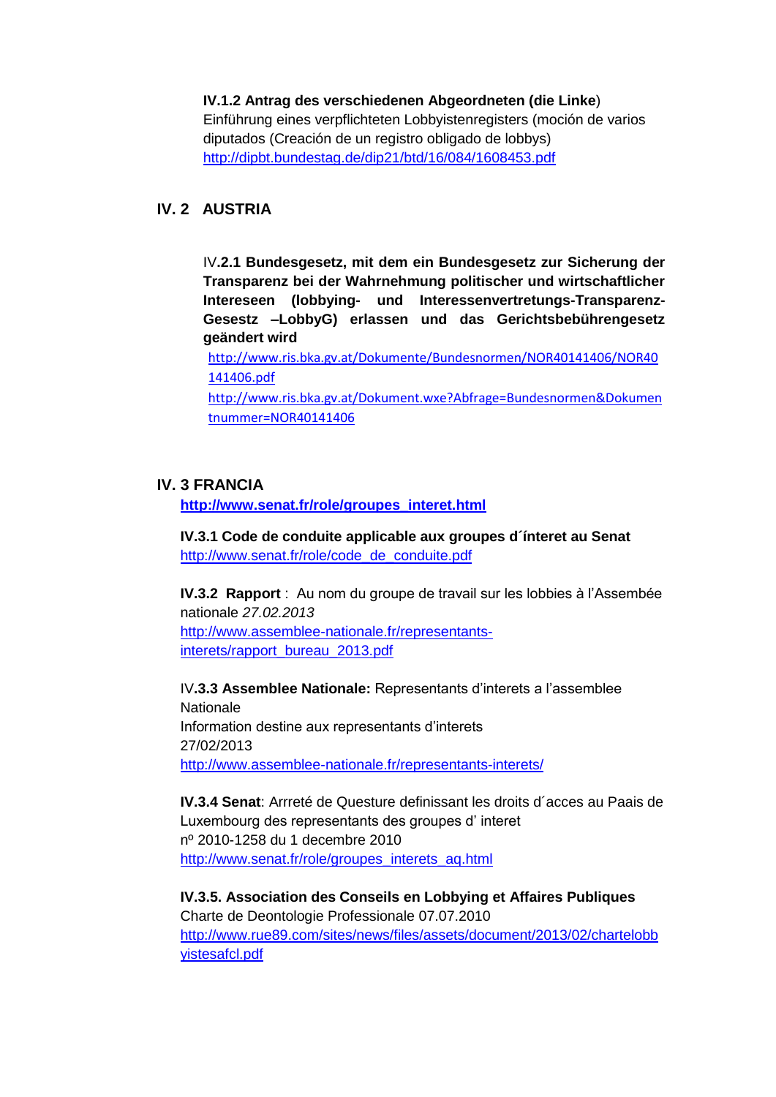### **IV.1.2 Antrag des verschiedenen Abgeordneten (die Linke**)

Einführung eines verpflichteten Lobbyistenregisters (moción de varios diputados (Creación de un registro obligado de lobbys) <http://dipbt.bundestag.de/dip21/btd/16/084/1608453.pdf>

# <span id="page-3-0"></span>**IV. 2 AUSTRIA**

IV**.2.1 Bundesgesetz, mit dem ein Bundesgesetz zur Sicherung der Transparenz bei der Wahrnehmung politischer und wirtschaftlicher Intereseen (lobbying- und Interessenvertretungs-Transparenz-Gesestz –LobbyG) erlassen und das Gerichtsbebührengesetz geändert wird**

[http://www.ris.bka.gv.at/Dokumente/Bundesnormen/NOR40141406/NOR40](http://www.ris.bka.gv.at/Dokumente/Bundesnormen/NOR40141406/NOR40141406.pdf) [141406.pdf](http://www.ris.bka.gv.at/Dokumente/Bundesnormen/NOR40141406/NOR40141406.pdf)

[http://www.ris.bka.gv.at/Dokument.wxe?Abfrage=Bundesnormen&Dokumen](http://www.ris.bka.gv.at/Dokument.wxe?Abfrage=Bundesnormen&Dokumentnummer=NOR40141406) [tnummer=NOR40141406](http://www.ris.bka.gv.at/Dokument.wxe?Abfrage=Bundesnormen&Dokumentnummer=NOR40141406)

### <span id="page-3-1"></span>**IV. 3 FRANCIA**

**[http://www.senat.fr/role/groupes\\_interet.html](http://www.senat.fr/role/groupes_interet.html)**

**IV.3.1 Code de conduite applicable aux groupes d´ínteret au Senat**  [http://www.senat.fr/role/code\\_de\\_conduite.pdf](http://www.senat.fr/role/code_de_conduite.pdf)

**IV.3.2 Rapport** : Au nom du groupe de travail sur les lobbies à l'Assembée nationale *27.02.2013* [http://www.assemblee-nationale.fr/representants-](http://www.assemblee-nationale.fr/representants-interets/rapport_bureau_2013.pdf)

[interets/rapport\\_bureau\\_2013.pdf](http://www.assemblee-nationale.fr/representants-interets/rapport_bureau_2013.pdf)

IV**.3.3 Assemblee Nationale:** Representants d'interets a l'assemblee **Nationale** Information destine aux representants d'interets 27/02/2013 <http://www.assemblee-nationale.fr/representants-interets/>

**IV.3.4 Senat**: Arrreté de Questure definissant les droits d´acces au Paais de Luxembourg des representants des groupes d' interet nº 2010-1258 du 1 decembre 2010 [http://www.senat.fr/role/groupes\\_interets\\_aq.html](http://www.senat.fr/role/groupes_interets_aq.html)

**IV.3.5. Association des Conseils en Lobbying et Affaires Publiques**  Charte de Deontologie Professionale 07.07.2010 [http://www.rue89.com/sites/news/files/assets/document/2013/02/chartelobb](http://www.rue89.com/sites/news/files/assets/document/2013/02/chartelobbyistesafcl.pdf) [yistesafcl.pdf](http://www.rue89.com/sites/news/files/assets/document/2013/02/chartelobbyistesafcl.pdf)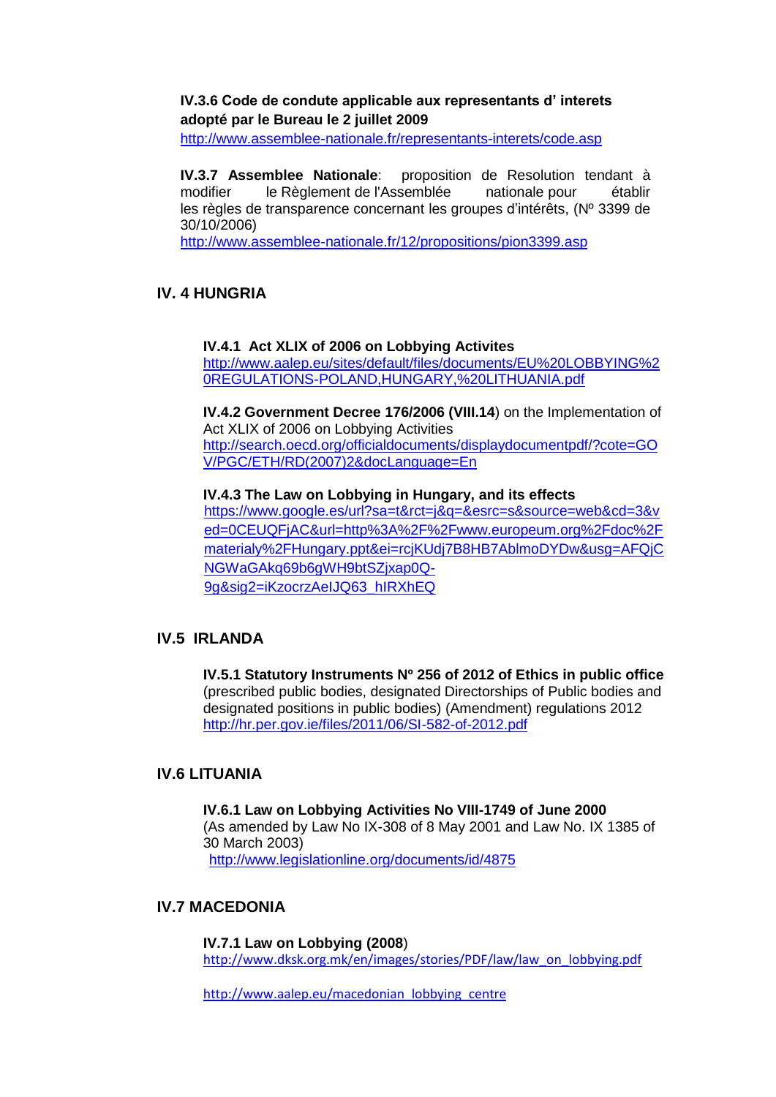### **IV.3.6 Code de condute applicable aux representants d' interets adopté par le Bureau le 2 juillet 2009**

<http://www.assemblee-nationale.fr/representants-interets/code.asp>

**IV.3.7 Assemblee Nationale**: proposition de Resolution tendant à modifier le Règlement de l'Assemblée nationale pour établir les règles de transparence concernant les groupes d'intérêts, (Nº 3399 de 30/10/2006)

<http://www.assemblee-nationale.fr/12/propositions/pion3399.asp>

# <span id="page-4-0"></span>**IV. 4 HUNGRIA**

**IV.4.1 Act XLIX of 2006 on Lobbying Activites** [http://www.aalep.eu/sites/default/files/documents/EU%20LOBBYING%2](http://www.aalep.eu/sites/default/files/documents/EU%20LOBBYING%20REGULATIONS-POLAND,HUNGARY,%20LITHUANIA.pdf) [0REGULATIONS-POLAND,HUNGARY,%20LITHUANIA.pdf](http://www.aalep.eu/sites/default/files/documents/EU%20LOBBYING%20REGULATIONS-POLAND,HUNGARY,%20LITHUANIA.pdf)

**IV.4.2 Government Decree 176/2006 (VIII.14**) on the Implementation of Act XLIX of 2006 on Lobbying Activities [http://search.oecd.org/officialdocuments/displaydocumentpdf/?cote=GO](http://search.oecd.org/officialdocuments/displaydocumentpdf/?cote=GOV/PGC/ETH/RD(2007)2&docLanguage=En) [V/PGC/ETH/RD\(2007\)2&docLanguage=En](http://search.oecd.org/officialdocuments/displaydocumentpdf/?cote=GOV/PGC/ETH/RD(2007)2&docLanguage=En)

**IV.4.3 The Law on Lobbying in Hungary, and its effects** [https://www.google.es/url?sa=t&rct=j&q=&esrc=s&source=web&cd=3&v](https://www.google.es/url?sa=t&rct=j&q=&esrc=s&source=web&cd=3&ved=0CEUQFjAC&url=http%3A%2F%2Fwww.europeum.org%2Fdoc%2Fmaterialy%2FHungary.ppt&ei=rcjKUdj7B8HB7AblmoDYDw&usg=AFQjCNGWaGAkq69b6gWH9btSZjxap0Q-9g&sig2=iKzocrzAeIJQ63_hIRXhEQ) [ed=0CEUQFjAC&url=http%3A%2F%2Fwww.europeum.org%2Fdoc%2F](https://www.google.es/url?sa=t&rct=j&q=&esrc=s&source=web&cd=3&ved=0CEUQFjAC&url=http%3A%2F%2Fwww.europeum.org%2Fdoc%2Fmaterialy%2FHungary.ppt&ei=rcjKUdj7B8HB7AblmoDYDw&usg=AFQjCNGWaGAkq69b6gWH9btSZjxap0Q-9g&sig2=iKzocrzAeIJQ63_hIRXhEQ) materialy%2FHungary.ppt&ei=rciKUdi7B8HB7AblmoDYDw&usg=AFQiC [NGWaGAkq69b6gWH9btSZjxap0Q-](https://www.google.es/url?sa=t&rct=j&q=&esrc=s&source=web&cd=3&ved=0CEUQFjAC&url=http%3A%2F%2Fwww.europeum.org%2Fdoc%2Fmaterialy%2FHungary.ppt&ei=rcjKUdj7B8HB7AblmoDYDw&usg=AFQjCNGWaGAkq69b6gWH9btSZjxap0Q-9g&sig2=iKzocrzAeIJQ63_hIRXhEQ)[9g&sig2=iKzocrzAeIJQ63\\_hIRXhEQ](https://www.google.es/url?sa=t&rct=j&q=&esrc=s&source=web&cd=3&ved=0CEUQFjAC&url=http%3A%2F%2Fwww.europeum.org%2Fdoc%2Fmaterialy%2FHungary.ppt&ei=rcjKUdj7B8HB7AblmoDYDw&usg=AFQjCNGWaGAkq69b6gWH9btSZjxap0Q-9g&sig2=iKzocrzAeIJQ63_hIRXhEQ)

# <span id="page-4-1"></span>**IV.5 IRLANDA**

**IV.5.1 Statutory Instruments Nº 256 of 2012 of Ethics in public office** (prescribed public bodies, designated Directorships of Public bodies and designated positions in public bodies) (Amendment) regulations 2012 <http://hr.per.gov.ie/files/2011/06/SI-582-of-2012.pdf>

# <span id="page-4-2"></span>**IV.6 LITUANIA**

**IV.6.1 Law on Lobbying Activities No VIII-1749 of June 2000** (As amended by Law No IX-308 of 8 May 2001 and Law No. IX 1385 of 30 March 2003) <http://www.legislationline.org/documents/id/4875>

# <span id="page-4-3"></span>**IV.7 MACEDONIA**

**IV.7.1 Law on Lobbying (2008**) [http://www.dksk.org.mk/en/images/stories/PDF/law/law\\_on\\_lobbying.pdf](http://www.dksk.org.mk/en/images/stories/PDF/law/law_on_lobbying.pdf)

[http://www.aalep.eu/macedonian\\_lobbying\\_centre](http://www.aalep.eu/macedonian_lobbying_centre)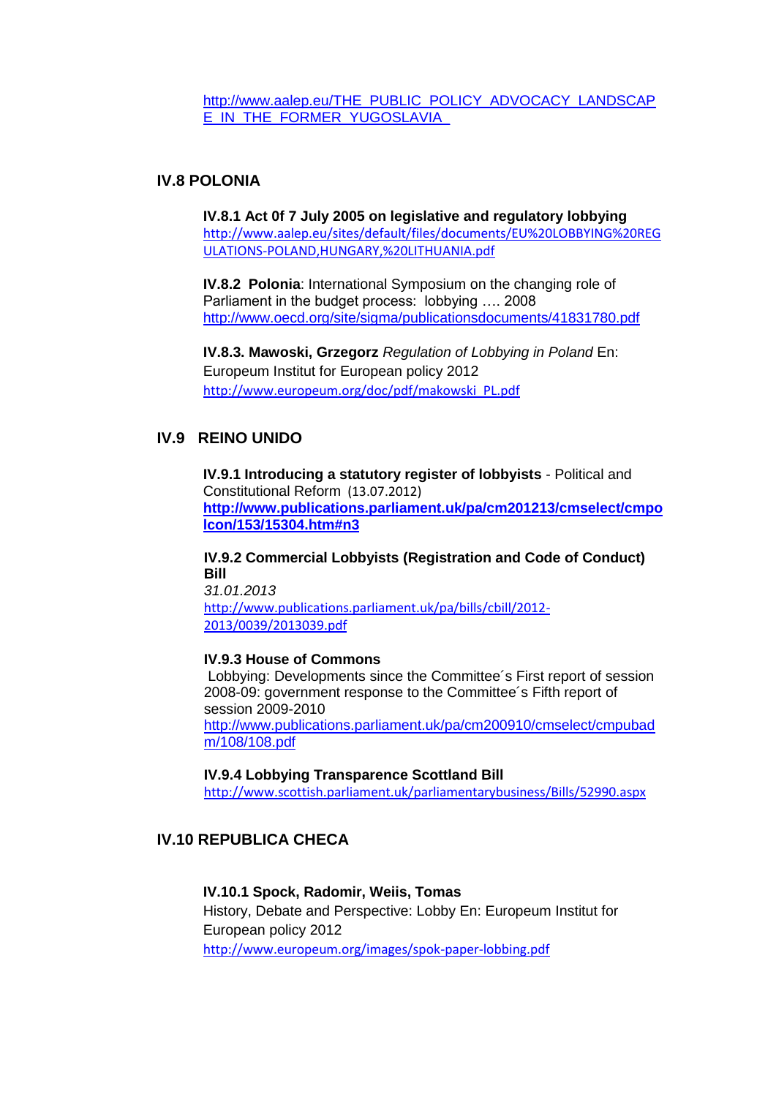[http://www.aalep.eu/THE\\_PUBLIC\\_POLICY\\_ADVOCACY\\_LANDSCAP](http://www.aalep.eu/THE_PUBLIC_POLICY_ADVOCACY_LANDSCAPE_IN_THE_FORMER_YUGOSLAVIA_) [E\\_IN\\_THE\\_FORMER\\_YUGOSLAVIA\\_](http://www.aalep.eu/THE_PUBLIC_POLICY_ADVOCACY_LANDSCAPE_IN_THE_FORMER_YUGOSLAVIA_)

### <span id="page-5-0"></span>**IV.8 POLONIA**

**IV.8.1 Act 0f 7 July 2005 on legislative and regulatory lobbying** [http://www.aalep.eu/sites/default/files/documents/EU%20LOBBYING%20REG](http://www.aalep.eu/sites/default/files/documents/EU%20LOBBYING%20REGULATIONS-POLAND,HUNGARY,%20LITHUANIA.pdf) [ULATIONS-POLAND,HUNGARY,%20LITHUANIA.pdf](http://www.aalep.eu/sites/default/files/documents/EU%20LOBBYING%20REGULATIONS-POLAND,HUNGARY,%20LITHUANIA.pdf)

**IV.8.2 Polonia**: International Symposium on the changing role of Parliament in the budget process: lobbying …. 2008 <http://www.oecd.org/site/sigma/publicationsdocuments/41831780.pdf>

**IV.8.3. Mawoski, Grzegorz** *Regulation of Lobbying in Poland* En: Europeum Institut for European policy 2012 [http://www.europeum.org/doc/pdf/makowski\\_PL.pdf](http://www.europeum.org/doc/pdf/makowski_PL.pdf)

# <span id="page-5-1"></span>**IV.9 REINO UNIDO**

**IV.9.1 Introducing a statutory register of lobbyists** - Political and Constitutional Reform (13.07.2012) **[http://www.publications.parliament.uk/pa/cm201213/cmselect/cmpo](http://www.publications.parliament.uk/pa/cm201213/cmselect/cmpolcon/153/15304.htm#n3) [lcon/153/15304.htm#n3](http://www.publications.parliament.uk/pa/cm201213/cmselect/cmpolcon/153/15304.htm#n3)**

**IV.9.2 Commercial Lobbyists (Registration and Code of Conduct) Bill** *31.01.2013*

[http://www.publications.parliament.uk/pa/bills/cbill/2012-](http://www.publications.parliament.uk/pa/bills/cbill/2012-2013/0039/2013039.pdf) [2013/0039/2013039.pdf](http://www.publications.parliament.uk/pa/bills/cbill/2012-2013/0039/2013039.pdf)

#### **IV.9.3 House of Commons**

Lobbying: Developments since the Committee´s First report of session 2008-09: government response to the Committee´s Fifth report of session 2009-2010 [http://www.publications.parliament.uk/pa/cm200910/cmselect/cmpubad](http://www.publications.parliament.uk/pa/cm200910/cmselect/cmpubadm/108/108.pdf) [m/108/108.pdf](http://www.publications.parliament.uk/pa/cm200910/cmselect/cmpubadm/108/108.pdf)

#### **IV.9.4 Lobbying Transparence Scottland Bill**

<http://www.scottish.parliament.uk/parliamentarybusiness/Bills/52990.aspx>

# <span id="page-5-2"></span>**IV.10 REPUBLICA CHECA**

### **IV.10.1 Spock, Radomir, Weiis, Tomas**

History, Debate and Perspective: Lobby En: Europeum Institut for European policy 2012 <http://www.europeum.org/images/spok-paper-lobbing.pdf>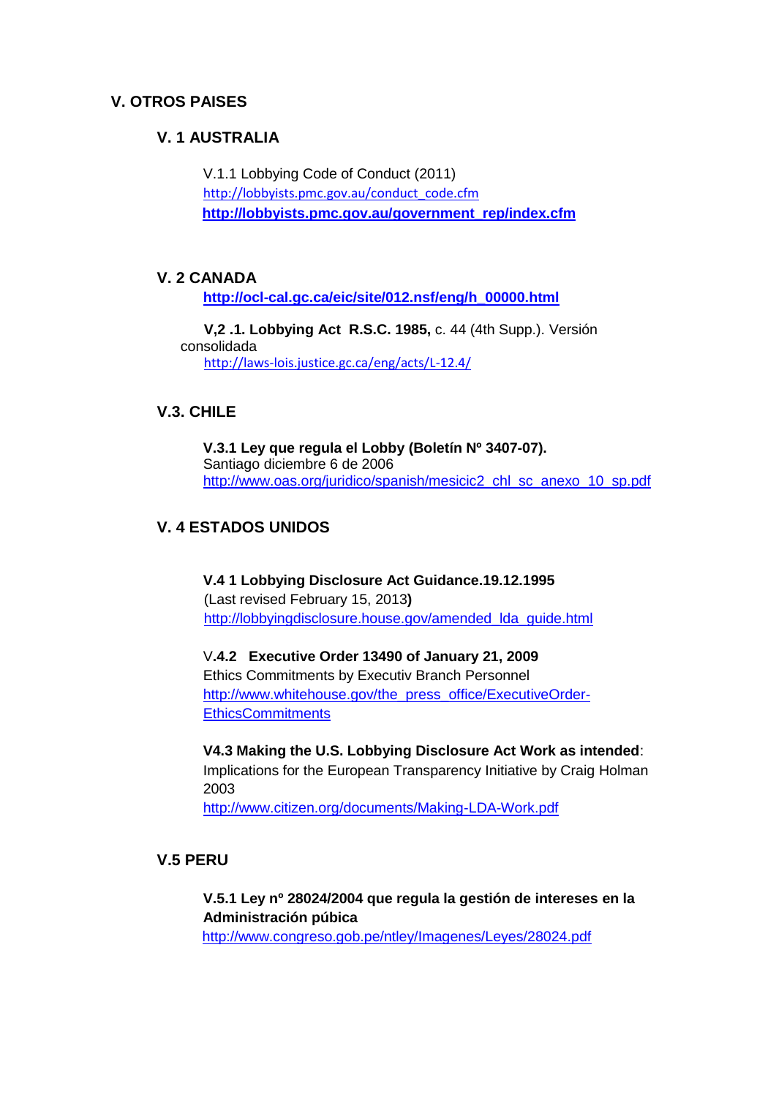# <span id="page-6-1"></span><span id="page-6-0"></span>**V. OTROS PAISES**

# **V. 1 AUSTRALIA**

V.1.1 Lobbying Code of Conduct (2011) [http://lobbyists.pmc.gov.au/conduct\\_code.cfm](http://lobbyists.pmc.gov.au/conduct_code.cfm) **[http://lobbyists.pmc.gov.au/government\\_rep/index.cfm](http://lobbyists.pmc.gov.au/government_rep/index.cfm)**

### <span id="page-6-2"></span>**V. 2 CANADA**

**[http://ocl-cal.gc.ca/eic/site/012.nsf/eng/h\\_00000.html](http://ocl-cal.gc.ca/eic/site/012.nsf/eng/h_00000.html)**

**V,2 .1. Lobbying Act R.S.C. 1985,** c. 44 (4th Supp.). Versión consolidada <http://laws-lois.justice.gc.ca/eng/acts/L-12.4/>

# <span id="page-6-3"></span>**V.3. CHILE**

**V.3.1 Ley que regula el Lobby (Boletín Nº 3407-07).**  Santiago diciembre 6 de 2006 [http://www.oas.org/juridico/spanish/mesicic2\\_chl\\_sc\\_anexo\\_10\\_sp.pdf](http://www.oas.org/juridico/spanish/mesicic2_chl_sc_anexo_10_sp.pdf)

# <span id="page-6-4"></span>**V. 4 ESTADOS UNIDOS**

**V.4 1 Lobbying Disclosure Act Guidance.19.12.1995** (Last revised February 15, 2013**)** [http://lobbyingdisclosure.house.gov/amended\\_lda\\_guide.html](http://lobbyingdisclosure.house.gov/amended_lda_guide.html)

V**.4.2 Executive Order 13490 of January 21, 2009** Ethics Commitments by Executiv Branch Personnel [http://www.whitehouse.gov/the\\_press\\_office/ExecutiveOrder-](http://www.whitehouse.gov/the_press_office/ExecutiveOrder-EthicsCommitments)**[EthicsCommitments](http://www.whitehouse.gov/the_press_office/ExecutiveOrder-EthicsCommitments)** 

**V4.3 Making the U.S. Lobbying Disclosure Act Work as intended**: Implications for the European Transparency Initiative by Craig Holman 2003

<http://www.citizen.org/documents/Making-LDA-Work.pdf>

### <span id="page-6-5"></span>**V.5 PERU**

**V.5.1 Ley nº 28024/2004 que regula la gestión de intereses en la Administración púbica** 

<http://www.congreso.gob.pe/ntley/Imagenes/Leyes/28024.pdf>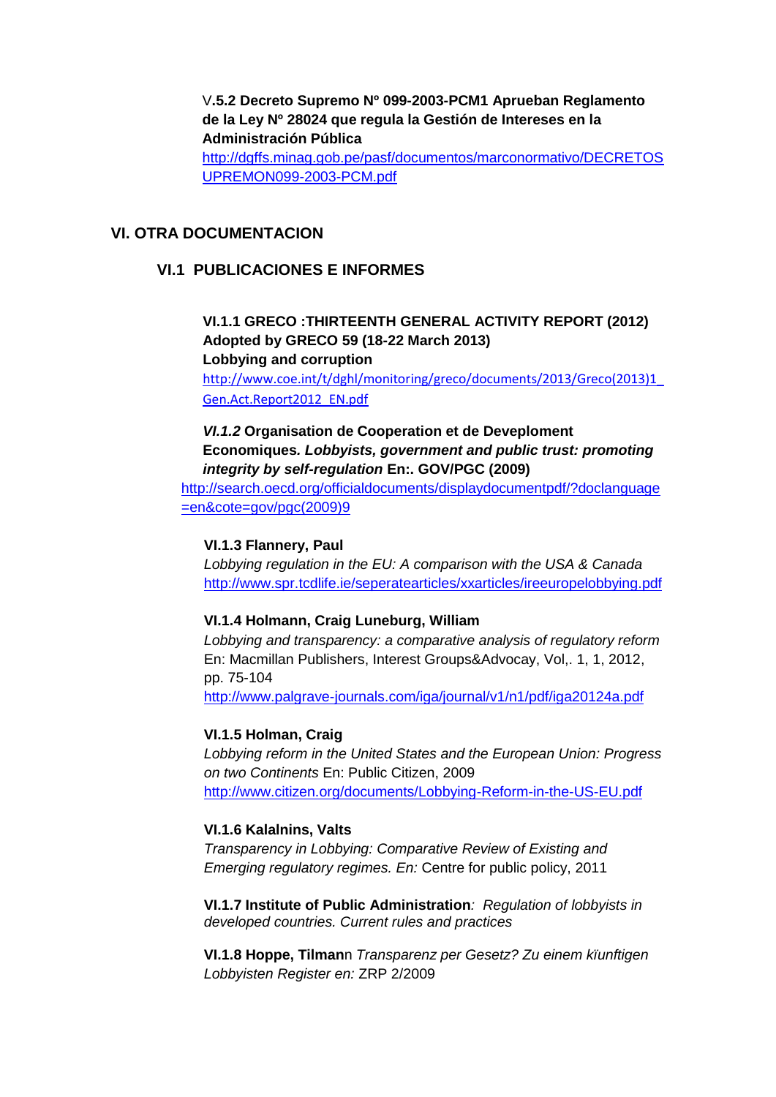V**.5.2 Decreto Supremo Nº 099-2003-PCM1 Aprueban Reglamento de la Ley Nº 28024 que regula la Gestión de Intereses en la Administración Pública** [http://dgffs.minag.gob.pe/pasf/documentos/marconormativo/DECRETOS](http://dgffs.minag.gob.pe/pasf/documentos/marconormativo/DECRETOSUPREMON099-2003-PCM.pdf) [UPREMON099-2003-PCM.pdf](http://dgffs.minag.gob.pe/pasf/documentos/marconormativo/DECRETOSUPREMON099-2003-PCM.pdf)

### <span id="page-7-1"></span><span id="page-7-0"></span>**VI. OTRA DOCUMENTACION**

### **VI.1 PUBLICACIONES E INFORMES**

### **VI.1.1 GRECO :THIRTEENTH GENERAL ACTIVITY REPORT (2012) Adopted by GRECO 59 (18-22 March 2013) Lobbying and corruption**

[http://www.coe.int/t/dghl/monitoring/greco/documents/2013/Greco\(2013\)1\\_](http://www.coe.int/t/dghl/monitoring/greco/documents/2013/Greco(2013)1_Gen.Act.Report2012_EN.pdf) [Gen.Act.Report2012\\_EN.pdf](http://www.coe.int/t/dghl/monitoring/greco/documents/2013/Greco(2013)1_Gen.Act.Report2012_EN.pdf)

*VI.1.2* **Organisation de Cooperation et de Deveploment Economiques***. Lobbyists, government and public trust: promoting integrity by self-regulation* **En:. GOV/PGC (2009)**

[http://search.oecd.org/officialdocuments/displaydocumentpdf/?doclanguage](http://search.oecd.org/officialdocuments/displaydocumentpdf/?doclanguage=en&cote=gov/pgc(2009)9) [=en&cote=gov/pgc\(2009\)9](http://search.oecd.org/officialdocuments/displaydocumentpdf/?doclanguage=en&cote=gov/pgc(2009)9)

#### **VI.1.3 Flannery, Paul**

*Lobbying regulation in the EU: A comparison with the USA & Canada* <http://www.spr.tcdlife.ie/seperatearticles/xxarticles/ireeuropelobbying.pdf>

#### **VI.1.4 Holmann, Craig Luneburg, William**

*Lobbying and transparency: a comparative analysis of regulatory reform* En: Macmillan Publishers, Interest Groups&Advocay, Vol,. 1, 1, 2012, pp. 75-104

<http://www.palgrave-journals.com/iga/journal/v1/n1/pdf/iga20124a.pdf>

### **VI.1.5 Holman, Craig**

*Lobbying reform in the United States and the European Union: Progress on two Continents* En: Public Citizen, 2009 <http://www.citizen.org/documents/Lobbying-Reform-in-the-US-EU.pdf>

#### **VI.1.6 Kalalnins, Valts**

*Transparency in Lobbying: Comparative Review of Existing and Emerging regulatory regimes. En:* Centre for public policy, 2011

**VI.1.7 Institute of Public Administration***: Regulation of lobbyists in developed countries. Current rules and practices*

**VI.1.8 Hoppe, Tilman**n *Transparenz per Gesetz? Zu einem kïunftigen Lobbyisten Register en:* ZRP 2/2009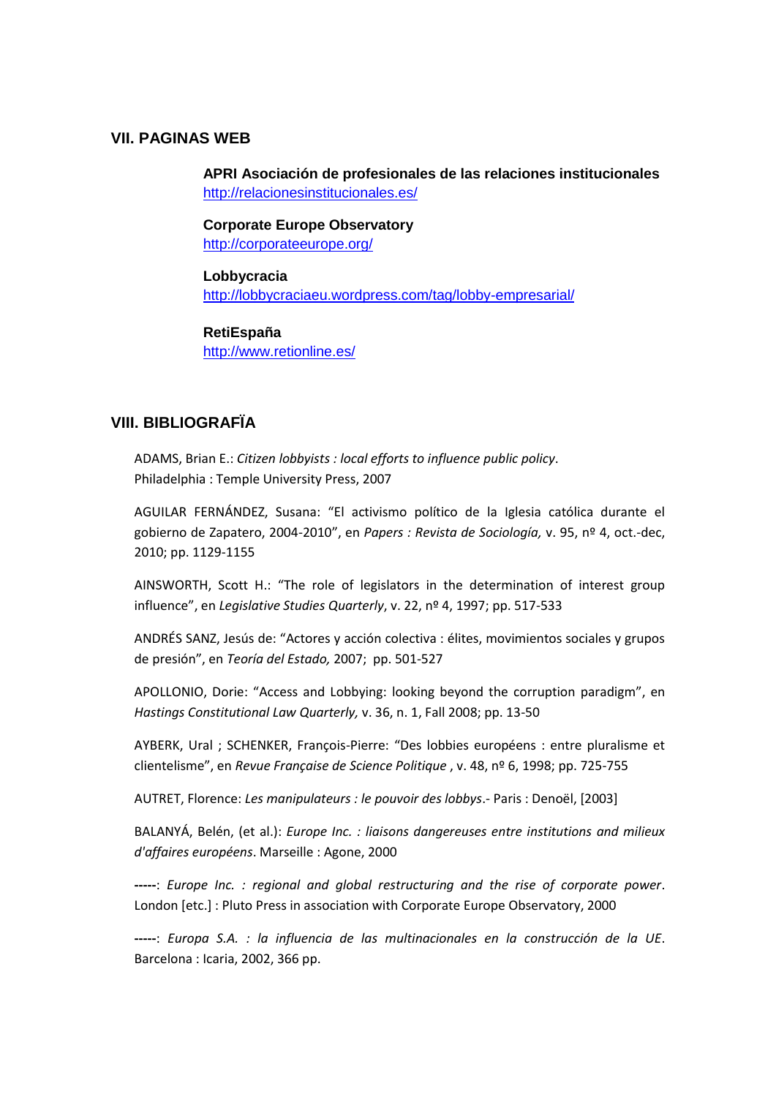### <span id="page-8-0"></span>**VII. PAGINAS WEB**

**APRI Asociación de profesionales de las relaciones institucionales**  <http://relacionesinstitucionales.es/>

**Corporate Europe Observatory** <http://corporateeurope.org/>

**Lobbycracia** <http://lobbycraciaeu.wordpress.com/tag/lobby-empresarial/>

#### **RetiEspaña**

<http://www.retionline.es/>

# <span id="page-8-1"></span>**VIII. BIBLIOGRAFÏA**

ADAMS, Brian E.: *Citizen lobbyists : local efforts to influence public policy*. Philadelphia : Temple University Press, 2007

AGUILAR FERNÁNDEZ, Susana: "El activismo político de la Iglesia católica durante el gobierno de Zapatero, 2004-2010", en *Papers : Revista de Sociología,* v. 95, nº 4, oct.-dec, 2010; pp. 1129-1155

AINSWORTH, Scott H.: "The role of legislators in the determination of interest group influence", en *Legislative Studies Quarterly*, v. 22, nº 4, 1997; pp. 517-533

ANDRÉS SANZ, Jesús de: "Actores y acción colectiva : élites, movimientos sociales y grupos de presión", en *Teoría del Estado,* 2007; pp. 501-527

APOLLONIO, Dorie: "Access and Lobbying: looking beyond the corruption paradigm", en *Hastings Constitutional Law Quarterly,* v. 36, n. 1, Fall 2008; pp. 13-50

AYBERK, Ural ; SCHENKER, François-Pierre: "Des lobbies européens : entre pluralisme et clientelisme", en *Revue Française de Science Politique* , v. 48, nº 6, 1998; pp. 725-755

AUTRET, Florence: *Les manipulateurs : le pouvoir des lobbys*.- Paris : Denoël, [2003]

BALANYÁ, Belén, (et al.): *Europe Inc. : liaisons dangereuses entre institutions and milieux d'affaires européens*. Marseille : Agone, 2000

**-----**: *Europe Inc. : regional and global restructuring and the rise of corporate power*. London [etc.] : Pluto Press in association with Corporate Europe Observatory, 2000

**-----**: *Europa S.A. : la influencia de las multinacionales en la construcción de la UE*. Barcelona : Icaria, 2002, 366 pp.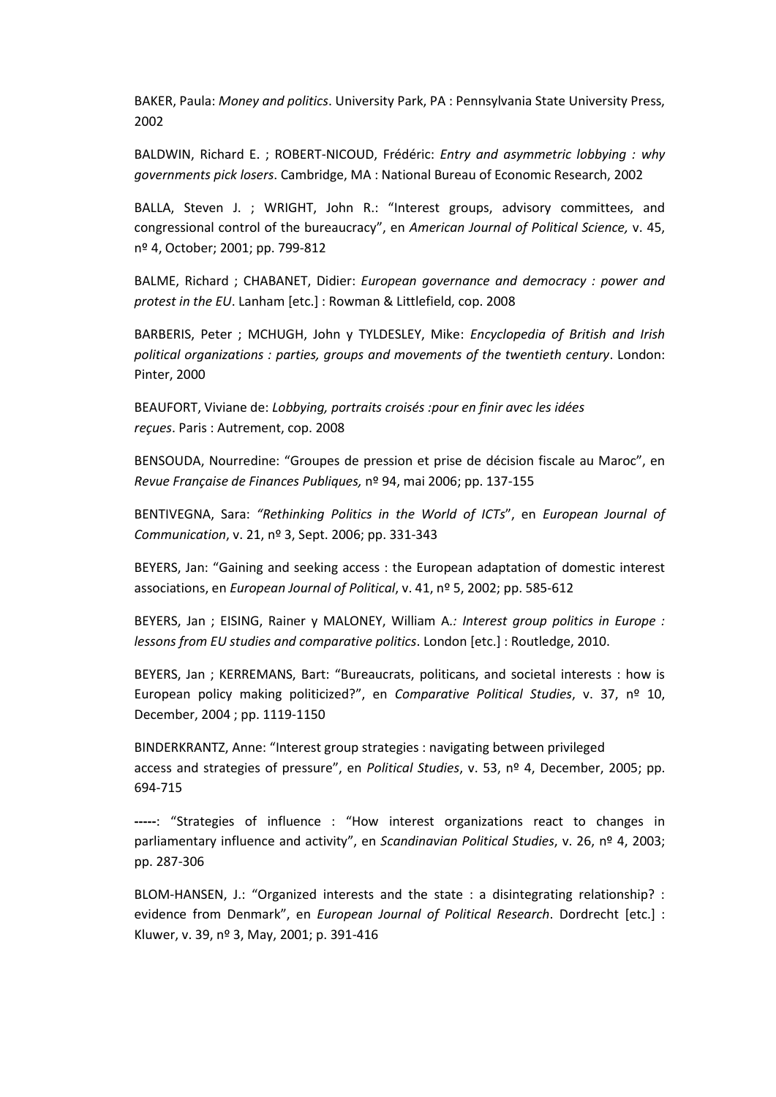BAKER, Paula: *Money and politics*. University Park, PA : Pennsylvania State University Press, 2002

BALDWIN, Richard E. ; ROBERT-NICOUD, Frédéric: *Entry and asymmetric lobbying : why governments pick losers*. Cambridge, MA : National Bureau of Economic Research, 2002

BALLA, Steven J. ; WRIGHT, John R.: "Interest groups, advisory committees, and congressional control of the bureaucracy", en *American Journal of Political Science,* v. 45, nº 4, October; 2001; pp. 799-812

BALME, Richard ; CHABANET, Didier: *European governance and democracy : power and protest in the EU*. Lanham [etc.] : Rowman & Littlefield, cop. 2008

BARBERIS, Peter ; MCHUGH, John y TYLDESLEY, Mike: *Encyclopedia of British and Irish political organizations : parties, groups and movements of the twentieth century*. London: Pinter, 2000

BEAUFORT, Viviane de: *Lobbying, portraits croisés :pour en finir avec les idées reçues*. Paris : Autrement, cop. 2008

BENSOUDA, Nourredine: "Groupes de pression et prise de décision fiscale au Maroc", en *Revue Française de Finances Publiques,* nº 94, mai 2006; pp. 137-155

BENTIVEGNA, Sara: *"Rethinking Politics in the World of ICTs*", en *European Journal of Communication*, v. 21, nº 3, Sept. 2006; pp. 331-343

BEYERS, Jan: "Gaining and seeking access : the European adaptation of domestic interest associations, en *European Journal of Political*, v. 41, nº 5, 2002; pp. 585-612

BEYERS, Jan ; EISING, Rainer y MALONEY, William A*.: Interest group politics in Europe : lessons from EU studies and comparative politics*. London [etc.] : Routledge, 2010.

BEYERS, Jan ; KERREMANS, Bart: "Bureaucrats, politicans, and societal interests : how is European policy making politicized?", en *Comparative Political Studies*, v. 37, nº 10, December, 2004 ; pp. 1119-1150

BINDERKRANTZ, Anne: "Interest group strategies : navigating between privileged access and strategies of pressure", en *Political Studies*, v. 53, nº 4, December, 2005; pp. 694-715

**-----**: "Strategies of influence : "How interest organizations react to changes in parliamentary influence and activity", en *Scandinavian Political Studies*, v. 26, nº 4, 2003; pp. 287-306

BLOM-HANSEN, J.: "Organized interests and the state : a disintegrating relationship? : evidence from Denmark", en *European Journal of Political Research*. Dordrecht [etc.] : Kluwer, v. 39, nº 3, May, 2001; p. 391-416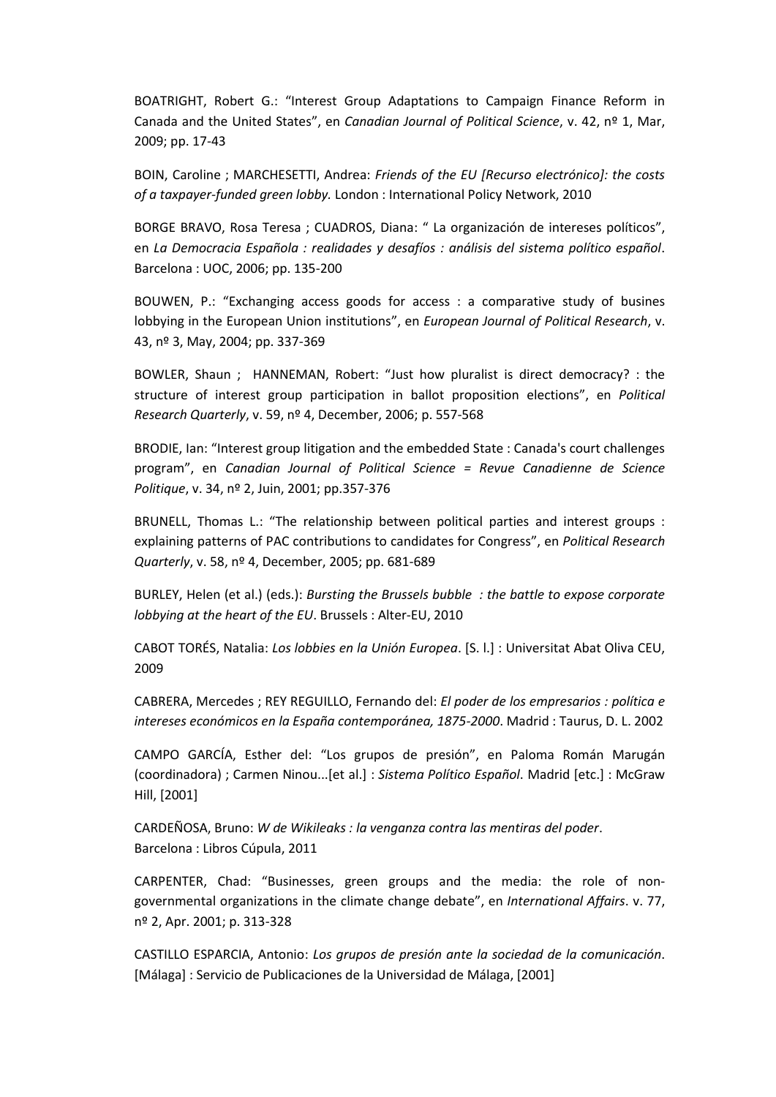BOATRIGHT, Robert G.: "Interest Group Adaptations to Campaign Finance Reform in Canada and the United States", en *Canadian Journal of Political Science*, v. 42, nº 1, Mar, 2009; pp. 17-43

BOIN, Caroline ; MARCHESETTI, Andrea: *Friends of the EU [Recurso electrónico]: the costs of a taxpayer-funded green lobby.* London : International Policy Network, 2010

BORGE BRAVO, Rosa Teresa ; CUADROS, Diana: " La organización de intereses políticos", en *La Democracia Española : realidades y desafíos : análisis del sistema político español*. Barcelona : UOC, 2006; pp. 135-200

BOUWEN, P.: "Exchanging access goods for access : a comparative study of busines lobbying in the European Union institutions", en *European Journal of Political Research*, v. 43, nº 3, May, 2004; pp. 337-369

BOWLER, Shaun ; HANNEMAN, Robert: "Just how pluralist is direct democracy? : the structure of interest group participation in ballot proposition elections", en *Political Research Quarterly*, v. 59, nº 4, December, 2006; p. 557-568

BRODIE, Ian: "Interest group litigation and the embedded State : Canada's court challenges program", en *Canadian Journal of Political Science = Revue Canadienne de Science Politique*, v. 34, nº 2, Juin, 2001; pp.357-376

BRUNELL, Thomas L.: "The relationship between political parties and interest groups : explaining patterns of PAC contributions to candidates for Congress", en *Political Research Quarterly*, v. 58, nº 4, December, 2005; pp. 681-689

BURLEY, Helen (et al.) (eds.): *Bursting the Brussels bubble : the battle to expose corporate lobbying at the heart of the EU*. Brussels : Alter-EU, 2010

CABOT TORÉS, Natalia: *Los lobbies en la Unión Europea*. [S. l.] : Universitat Abat Oliva CEU, 2009

CABRERA, Mercedes ; REY REGUILLO, Fernando del: *El poder de los empresarios : política e intereses económicos en la España contemporánea, 1875-2000*. Madrid : Taurus, D. L. 2002

CAMPO GARCÍA, Esther del: "Los grupos de presión", en Paloma Román Marugán (coordinadora) ; Carmen Ninou...[et al.] : *Sistema Político Español*. Madrid [etc.] : McGraw Hill, [2001]

CARDEÑOSA, Bruno: *W de Wikileaks : la venganza contra las mentiras del poder*. Barcelona : Libros Cúpula, 2011

CARPENTER, Chad: "Businesses, green groups and the media: the role of nongovernmental organizations in the climate change debate", en *International Affairs*. v. 77, nº 2, Apr. 2001; p. 313-328

CASTILLO ESPARCIA, Antonio: *Los grupos de presión ante la sociedad de la comunicación*. [Málaga] : Servicio de Publicaciones de la Universidad de Málaga, [2001]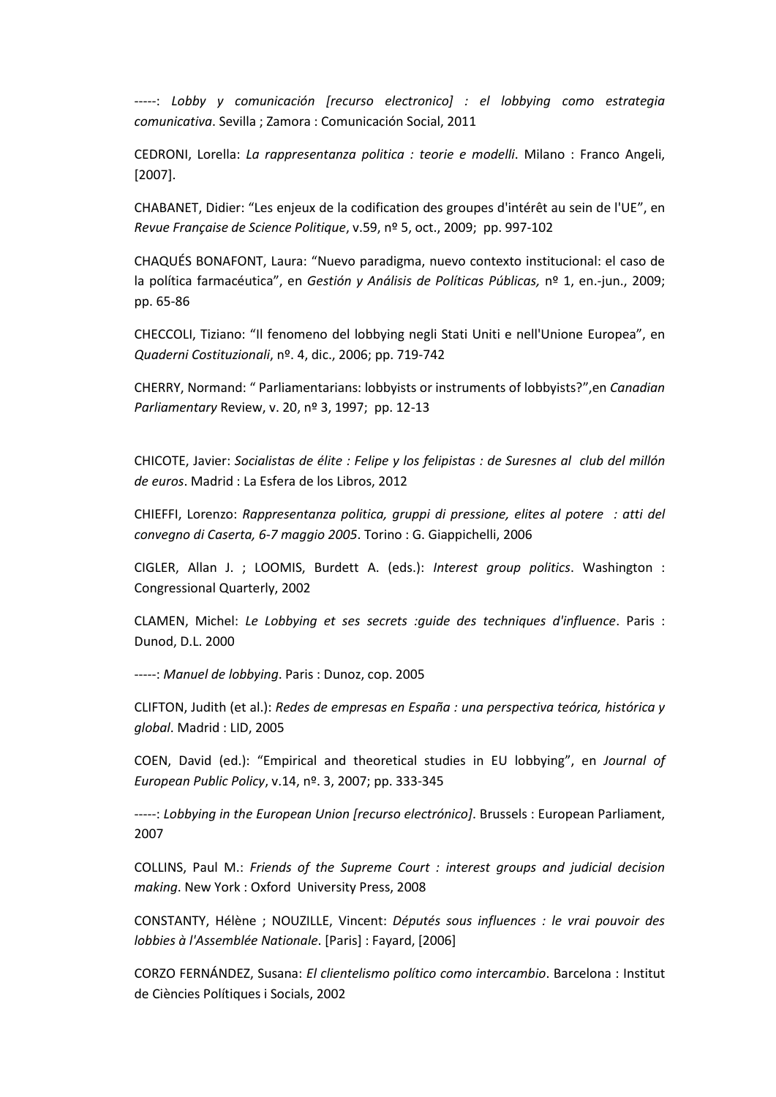-----: Lobby y comunicación [recurso electronico] : el lobbying como estrategia *comunicativa*. Sevilla ; Zamora : Comunicación Social, 2011

CEDRONI, Lorella: *La rappresentanza politica : teorie e modelli*. Milano : Franco Angeli, [2007].

CHABANET, Didier: "Les enjeux de la codification des groupes d'intérêt au sein de l'UE", en *Revue Française de Science Politique*, v.59, nº 5, oct., 2009; pp. 997-102

CHAQUÉS BONAFONT, Laura: "Nuevo paradigma, nuevo contexto institucional: el caso de la política farmacéutica", en *Gestión y Análisis de Políticas Públicas,* nº 1, en.-jun., 2009; pp. 65-86

CHECCOLI, Tiziano: "Il fenomeno del lobbying negli Stati Uniti e nell'Unione Europea", en *Quaderni Costituzionali*, nº. 4, dic., 2006; pp. 719-742

CHERRY, Normand: " Parliamentarians: lobbyists or instruments of lobbyists?",en *Canadian Parliamentary* Review, v. 20, nº 3, 1997; pp. 12-13

CHICOTE, Javier: *Socialistas de élite : Felipe y los felipistas : de Suresnes al club del millón de euros*. Madrid : La Esfera de los Libros, 2012

CHIEFFI, Lorenzo: *Rappresentanza politica, gruppi di pressione, elites al potere : atti del convegno di Caserta, 6-7 maggio 2005*. Torino : G. Giappichelli, 2006

CIGLER, Allan J. ; LOOMIS, Burdett A. (eds.): *Interest group politics*. Washington : Congressional Quarterly, 2002

CLAMEN, Michel: *Le Lobbying et ses secrets :guide des techniques d'influence*. Paris : Dunod, D.L. 2000

-----: *Manuel de lobbying*. Paris : Dunoz, cop. 2005

CLIFTON, Judith (et al.): *Redes de empresas en España : una perspectiva teórica, histórica y global*. Madrid : LID, 2005

COEN, David (ed.): "Empirical and theoretical studies in EU lobbying", en *Journal of European Public Policy*, v.14, nº. 3, 2007; pp. 333-345

-----: *Lobbying in the European Union [recurso electrónico]*. Brussels : European Parliament, 2007

COLLINS, Paul M.: *Friends of the Supreme Court : interest groups and judicial decision making*. New York : Oxford University Press, 2008

CONSTANTY, Hélène ; NOUZILLE, Vincent: *Députés sous influences : le vrai pouvoir des lobbies à l'Assemblée Nationale*. [Paris] : Fayard, [2006]

CORZO FERNÁNDEZ, Susana: *El clientelismo político como intercambio*. Barcelona : Institut de Ciències Polítiques i Socials, 2002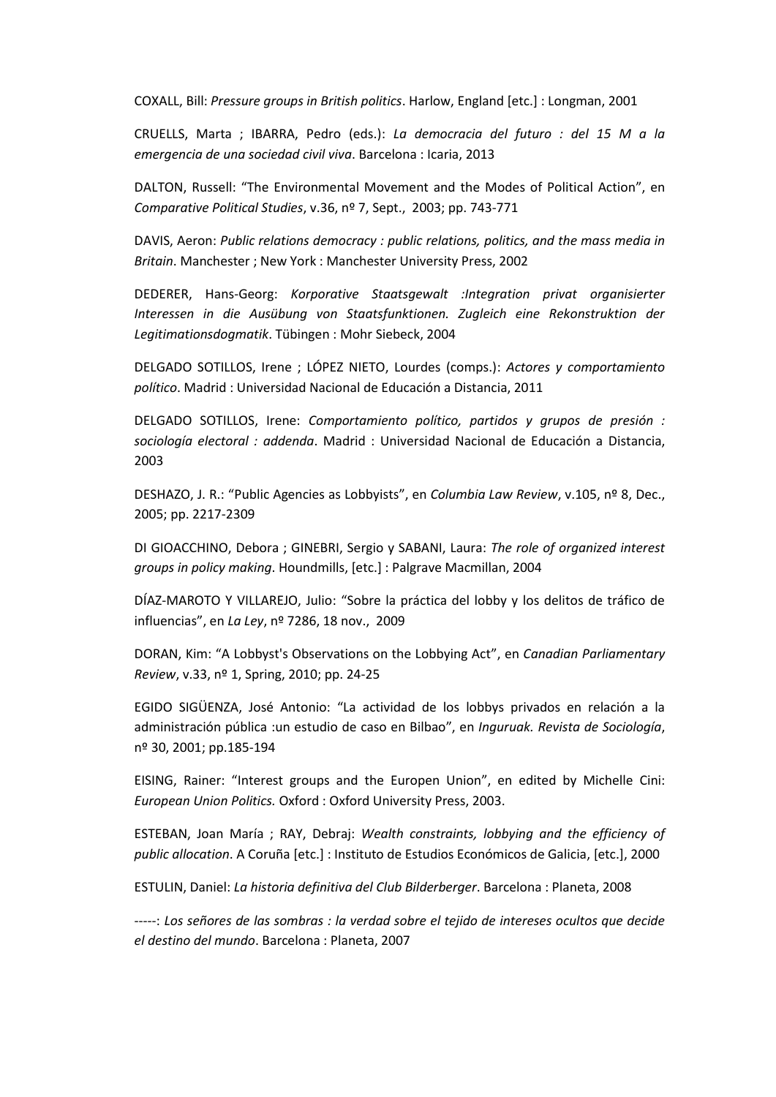COXALL, Bill: *Pressure groups in British politics*. Harlow, England [etc.] : Longman, 2001

CRUELLS, Marta ; IBARRA, Pedro (eds.): *La democracia del futuro : del 15 M a la emergencia de una sociedad civil viva*. Barcelona : Icaria, 2013

DALTON, Russell: "The Environmental Movement and the Modes of Political Action", en *Comparative Political Studies*, v.36, nº 7, Sept., 2003; pp. 743-771

DAVIS, Aeron: *Public relations democracy : public relations, politics, and the mass media in Britain*. Manchester ; New York : Manchester University Press, 2002

DEDERER, Hans-Georg: *Korporative Staatsgewalt :Integration privat organisierter Interessen in die Ausübung von Staatsfunktionen. Zugleich eine Rekonstruktion der Legitimationsdogmatik*. Tübingen : Mohr Siebeck, 2004

DELGADO SOTILLOS, Irene ; LÓPEZ NIETO, Lourdes (comps.): *Actores y comportamiento político*. Madrid : Universidad Nacional de Educación a Distancia, 2011

DELGADO SOTILLOS, Irene: *Comportamiento político, partidos y grupos de presión : sociología electoral : addenda*. Madrid : Universidad Nacional de Educación a Distancia, 2003

DESHAZO, J. R.: "Public Agencies as Lobbyists", en *Columbia Law Review*, v.105, nº 8, Dec., 2005; pp. 2217-2309

DI GIOACCHINO, Debora ; GINEBRI, Sergio y SABANI, Laura: *The role of organized interest groups in policy making*. Houndmills, [etc.] : Palgrave Macmillan, 2004

DÍAZ-MAROTO Y VILLAREJO, Julio: "Sobre la práctica del lobby y los delitos de tráfico de influencias", en *La Ley*, nº 7286, 18 nov., 2009

DORAN, Kim: "A Lobbyst's Observations on the Lobbying Act", en *Canadian Parliamentary Review*, v.33, nº 1, Spring, 2010; pp. 24-25

EGIDO SIGÜENZA, José Antonio: "La actividad de los lobbys privados en relación a la administración pública :un estudio de caso en Bilbao", en *Inguruak. Revista de Sociología*, nº 30, 2001; pp.185-194

EISING, Rainer: "Interest groups and the Europen Union", en edited by Michelle Cini: *European Union Politics.* Oxford : Oxford University Press, 2003.

ESTEBAN, Joan María ; RAY, Debraj: *Wealth constraints, lobbying and the efficiency of public allocation*. A Coruña [etc.] : Instituto de Estudios Económicos de Galicia, [etc.], 2000

ESTULIN, Daniel: *La historia definitiva del Club Bilderberger*. Barcelona : Planeta, 2008

-----: *Los señores de las sombras : la verdad sobre el tejido de intereses ocultos que decide el destino del mundo*. Barcelona : Planeta, 2007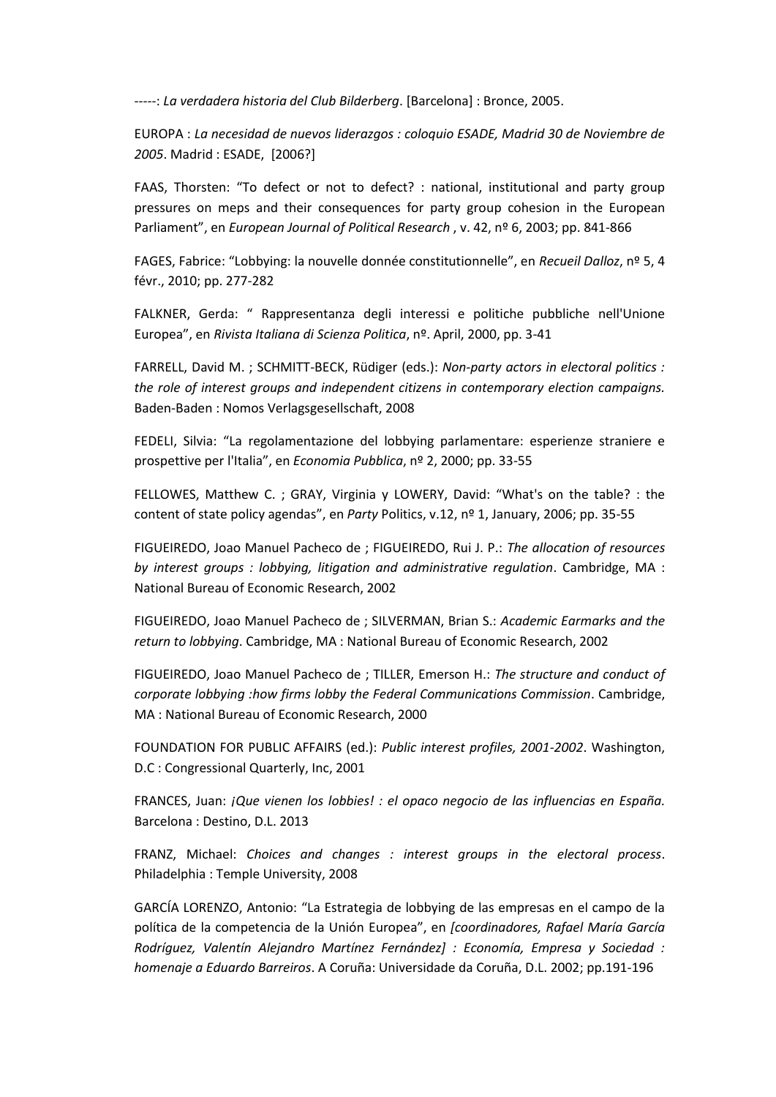-----: *La verdadera historia del Club Bilderberg*. [Barcelona] : Bronce, 2005.

EUROPA : *La necesidad de nuevos liderazgos : coloquio ESADE, Madrid 30 de Noviembre de 2005*. Madrid : ESADE, [2006?]

FAAS, Thorsten: "To defect or not to defect? : national, institutional and party group pressures on meps and their consequences for party group cohesion in the European Parliament", en *European Journal of Political Research* , v. 42, nº 6, 2003; pp. 841-866

FAGES, Fabrice: "Lobbying: la nouvelle donnée constitutionnelle", en *Recueil Dalloz*, nº 5, 4 févr., 2010; pp. 277-282

FALKNER, Gerda: " Rappresentanza degli interessi e politiche pubbliche nell'Unione Europea", en *Rivista Italiana di Scienza Politica*, nº. April, 2000, pp. 3-41

FARRELL, David M. ; SCHMITT-BECK, Rüdiger (eds.): *Non-party actors in electoral politics : the role of interest groups and independent citizens in contemporary election campaigns.* Baden-Baden : Nomos Verlagsgesellschaft, 2008

FEDELI, Silvia: "La regolamentazione del lobbying parlamentare: esperienze straniere e prospettive per l'Italia", en *Economia Pubblica*, nº 2, 2000; pp. 33-55

FELLOWES, Matthew C. ; GRAY, Virginia y LOWERY, David: "What's on the table? : the content of state policy agendas", en *Party* Politics, v.12, nº 1, January, 2006; pp. 35-55

FIGUEIREDO, Joao Manuel Pacheco de ; FIGUEIREDO, Rui J. P.: *The allocation of resources by interest groups : lobbying, litigation and administrative regulation*. Cambridge, MA : National Bureau of Economic Research, 2002

FIGUEIREDO, Joao Manuel Pacheco de ; SILVERMAN, Brian S.: *Academic Earmarks and the return to lobbying*. Cambridge, MA : National Bureau of Economic Research, 2002

FIGUEIREDO, Joao Manuel Pacheco de ; TILLER, Emerson H.: *The structure and conduct of corporate lobbying :how firms lobby the Federal Communications Commission*. Cambridge, MA : National Bureau of Economic Research, 2000

FOUNDATION FOR PUBLIC AFFAIRS (ed.): *Public interest profiles, 2001-2002*. Washington, D.C : Congressional Quarterly, Inc, 2001

FRANCES, Juan: *¡Que vienen los lobbies! : el opaco negocio de las influencias en España.* Barcelona : Destino, D.L. 2013

FRANZ, Michael: *Choices and changes : interest groups in the electoral process*. Philadelphia : Temple University, 2008

GARCÍA LORENZO, Antonio: "La Estrategia de lobbying de las empresas en el campo de la política de la competencia de la Unión Europea", en *[coordinadores, Rafael María García Rodríguez, Valentín Alejandro Martínez Fernández] : Economía, Empresa y Sociedad : homenaje a Eduardo Barreiros*. A Coruña: Universidade da Coruña, D.L. 2002; pp.191-196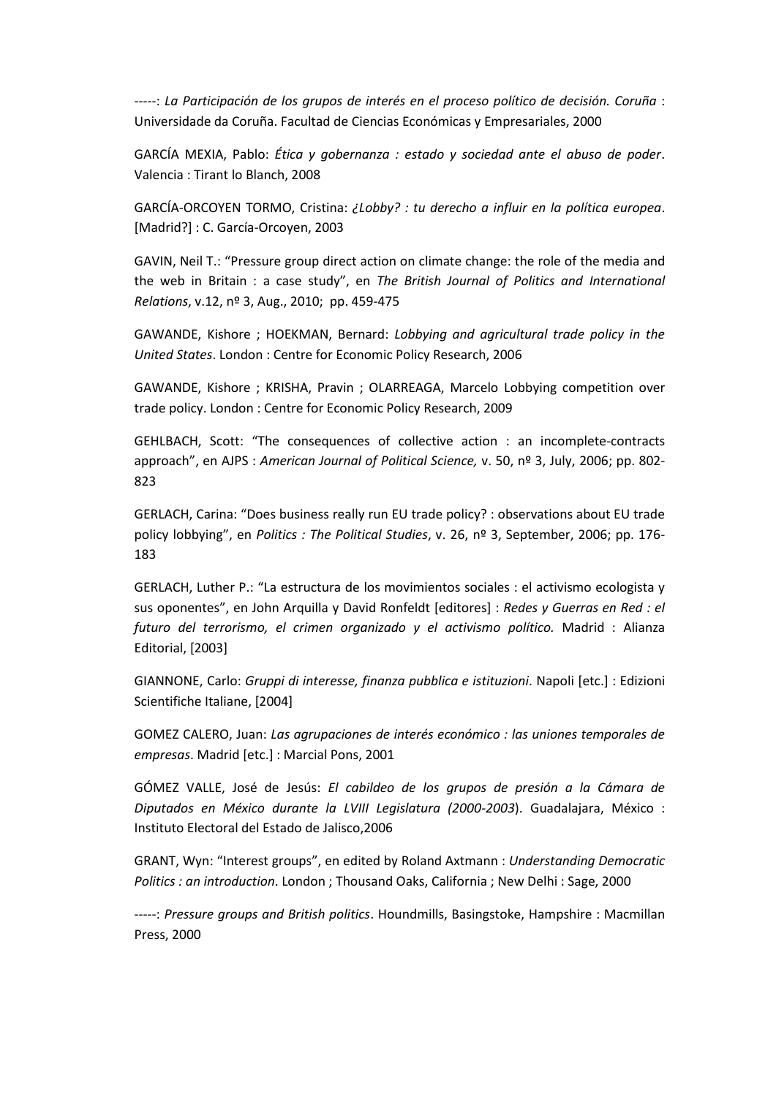-----: *La Participación de los grupos de interés en el proceso político de decisión. Coruña* : Universidade da Coruña. Facultad de Ciencias Económicas y Empresariales, 2000

GARCÍA MEXIA, Pablo: *Ética y gobernanza : estado y sociedad ante el abuso de poder*. Valencia : Tirant lo Blanch, 2008

GARCÍA-ORCOYEN TORMO, Cristina: *¿Lobby? : tu derecho a influir en la política europea*. [Madrid?] : C. García-Orcoyen, 2003

GAVIN, Neil T.: "Pressure group direct action on climate change: the role of the media and the web in Britain : a case study", en *The British Journal of Politics and International Relations*, v.12, nº 3, Aug., 2010; pp. 459-475

GAWANDE, Kishore ; HOEKMAN, Bernard: *Lobbying and agricultural trade policy in the United States*. London : Centre for Economic Policy Research, 2006

GAWANDE, Kishore ; KRISHA, Pravin ; OLARREAGA, Marcelo Lobbying competition over trade policy. London : Centre for Economic Policy Research, 2009

GEHLBACH, Scott: "The consequences of collective action : an incomplete-contracts approach", en AJPS : *American Journal of Political Science,* v. 50, nº 3, July, 2006; pp. 802- 823

GERLACH, Carina: "Does business really run EU trade policy? : observations about EU trade policy lobbying", en *Politics : The Political Studies*, v. 26, nº 3, September, 2006; pp. 176- 183

GERLACH, Luther P.: "La estructura de los movimientos sociales : el activismo ecologista y sus oponentes", en John Arquilla y David Ronfeldt [editores] : *Redes y Guerras en Red : el futuro del terrorismo, el crimen organizado y el activismo político.* Madrid : Alianza Editorial, [2003]

GIANNONE, Carlo: *Gruppi di interesse, finanza pubblica e istituzioni*. Napoli [etc.] : Edizioni Scientifiche Italiane, [2004]

GOMEZ CALERO, Juan: *Las agrupaciones de interés económico : las uniones temporales de empresas*. Madrid [etc.] : Marcial Pons, 2001

GÓMEZ VALLE, José de Jesús: *El cabildeo de los grupos de presión a la Cámara de Diputados en México durante la LVIII Legislatura (2000-2003*). Guadalajara, México : Instituto Electoral del Estado de Jalisco,2006

GRANT, Wyn: "Interest groups", en edited by Roland Axtmann : *Understanding Democratic Politics : an introduction*. London ; Thousand Oaks, California ; New Delhi : Sage, 2000

-----: *Pressure groups and British politics*. Houndmills, Basingstoke, Hampshire : Macmillan Press, 2000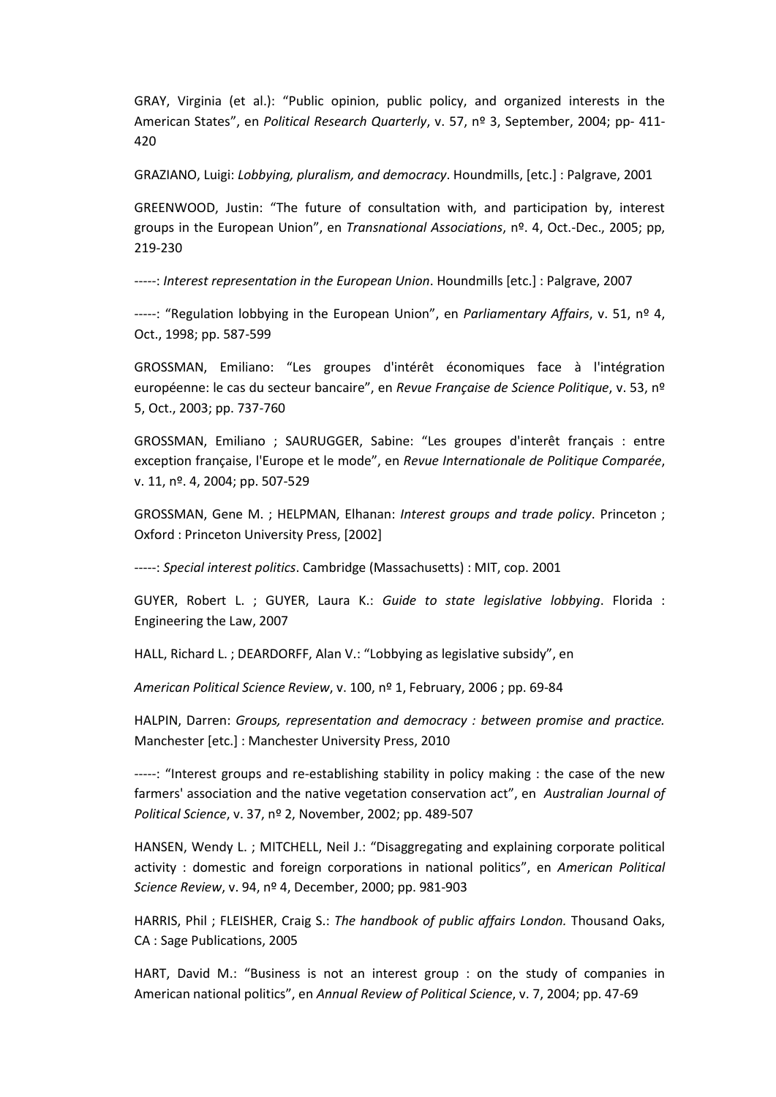GRAY, Virginia (et al.): "Public opinion, public policy, and organized interests in the American States", en *Political Research Quarterly*, v. 57, nº 3, September, 2004; pp- 411- 420

GRAZIANO, Luigi: *Lobbying, pluralism, and democracy*. Houndmills, [etc.] : Palgrave, 2001

GREENWOOD, Justin: "The future of consultation with, and participation by, interest groups in the European Union", en *Transnational Associations*, nº. 4, Oct.-Dec., 2005; pp, 219-230

-----: *Interest representation in the European Union*. Houndmills [etc.] : Palgrave, 2007

-----: "Regulation lobbying in the European Union", en *Parliamentary Affairs*, v. 51, nº 4, Oct., 1998; pp. 587-599

GROSSMAN, Emiliano: "Les groupes d'intérêt économiques face à l'intégration européenne: le cas du secteur bancaire", en *Revue Française de Science Politique*, v. 53, nº 5, Oct., 2003; pp. 737-760

GROSSMAN, Emiliano ; SAURUGGER, Sabine: "Les groupes d'interêt français : entre exception française, l'Europe et le mode", en *Revue Internationale de Politique Comparée*, v. 11, nº. 4, 2004; pp. 507-529

GROSSMAN, Gene M. ; HELPMAN, Elhanan: *Interest groups and trade policy*. Princeton ; Oxford : Princeton University Press, [2002]

-----: *Special interest politics*. Cambridge (Massachusetts) : MIT, cop. 2001

GUYER, Robert L. ; GUYER, Laura K.: *Guide to state legislative lobbying*. Florida : Engineering the Law, 2007

HALL, Richard L. ; DEARDORFF, Alan V.: "Lobbying as legislative subsidy", en

*American Political Science Review*, v. 100, nº 1, February, 2006 ; pp. 69-84

HALPIN, Darren: *Groups, representation and democracy : between promise and practice.* Manchester [etc.] : Manchester University Press, 2010

-----: "Interest groups and re-establishing stability in policy making : the case of the new farmers' association and the native vegetation conservation act", en *Australian Journal of Political Science*, v. 37, nº 2, November, 2002; pp. 489-507

HANSEN, Wendy L. ; MITCHELL, Neil J.: "Disaggregating and explaining corporate political activity : domestic and foreign corporations in national politics", en *American Political Science Review*, v. 94, nº 4, December, 2000; pp. 981-903

HARRIS, Phil ; FLEISHER, Craig S.: *The handbook of public affairs London.* Thousand Oaks, CA : Sage Publications, 2005

HART, David M.: "Business is not an interest group : on the study of companies in American national politics", en *Annual Review of Political Science*, v. 7, 2004; pp. 47-69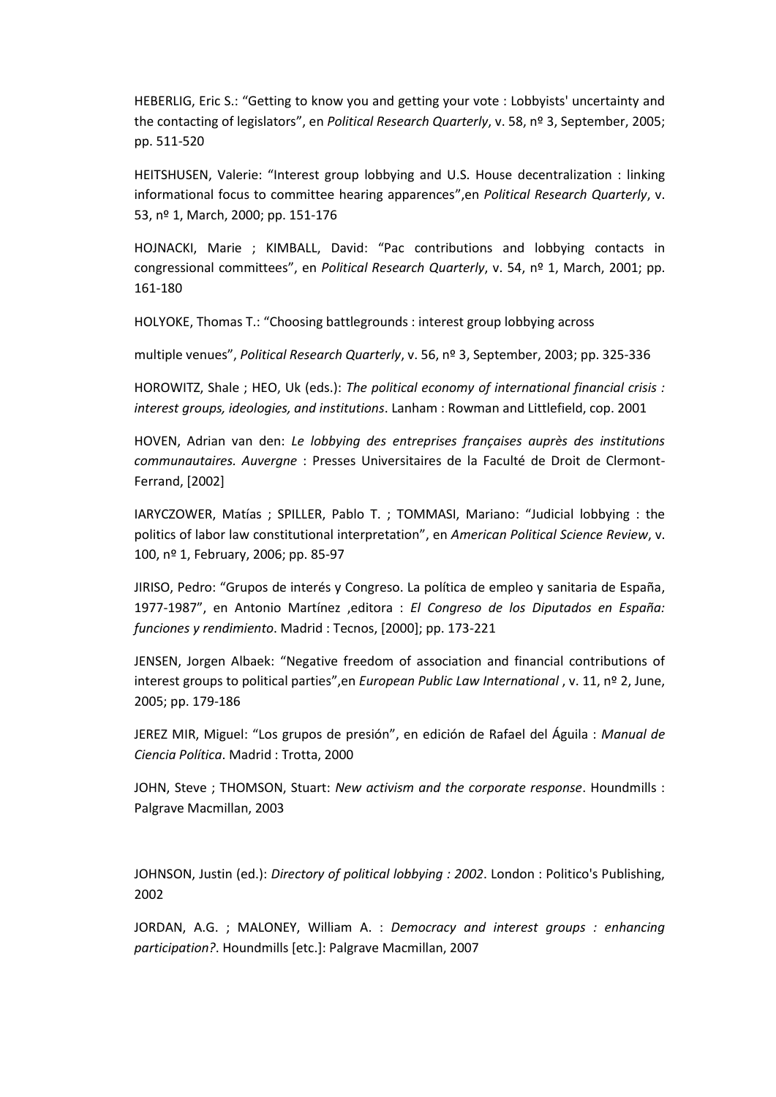HEBERLIG, Eric S.: "Getting to know you and getting your vote : Lobbyists' uncertainty and the contacting of legislators", en *Political Research Quarterly*, v. 58, nº 3, September, 2005; pp. 511-520

HEITSHUSEN, Valerie: "Interest group lobbying and U.S. House decentralization : linking informational focus to committee hearing apparences",en *Political Research Quarterly*, v. 53, nº 1, March, 2000; pp. 151-176

HOJNACKI, Marie ; KIMBALL, David: "Pac contributions and lobbying contacts in congressional committees", en *Political Research Quarterly*, v. 54, nº 1, March, 2001; pp. 161-180

HOLYOKE, Thomas T.: "Choosing battlegrounds : interest group lobbying across

multiple venues", *Political Research Quarterly*, v. 56, nº 3, September, 2003; pp. 325-336

HOROWITZ, Shale ; HEO, Uk (eds.): *The political economy of international financial crisis : interest groups, ideologies, and institutions*. Lanham : Rowman and Littlefield, cop. 2001

HOVEN, Adrian van den: *Le lobbying des entreprises françaises auprès des institutions communautaires. Auvergne* : Presses Universitaires de la Faculté de Droit de Clermont-Ferrand, [2002]

IARYCZOWER, Matías ; SPILLER, Pablo T. ; TOMMASI, Mariano: "Judicial lobbying : the politics of labor law constitutional interpretation", en *American Political Science Review*, v. 100, nº 1, February, 2006; pp. 85-97

JIRISO, Pedro: "Grupos de interés y Congreso. La política de empleo y sanitaria de España, 1977-1987", en Antonio Martínez ,editora : *El Congreso de los Diputados en España: funciones y rendimiento*. Madrid : Tecnos, [2000]; pp. 173-221

JENSEN, Jorgen Albaek: "Negative freedom of association and financial contributions of interest groups to political parties",en *European Public Law International* , v. 11, nº 2, June, 2005; pp. 179-186

JEREZ MIR, Miguel: "Los grupos de presión", en edición de Rafael del Águila : *Manual de Ciencia Política*. Madrid : Trotta, 2000

JOHN, Steve ; THOMSON, Stuart: *New activism and the corporate response*. Houndmills : Palgrave Macmillan, 2003

JOHNSON, Justin (ed.): *Directory of political lobbying : 2002*. London : Politico's Publishing, 2002

JORDAN, A.G. ; MALONEY, William A. : *Democracy and interest groups : enhancing participation?*. Houndmills [etc.]: Palgrave Macmillan, 2007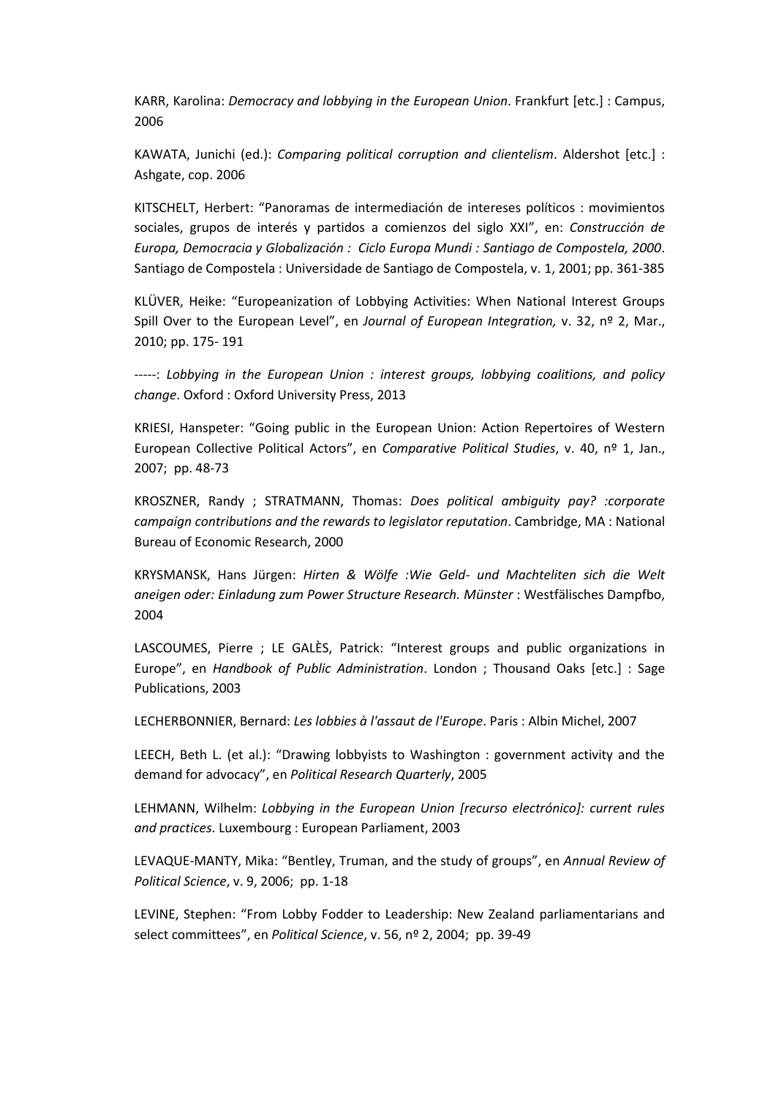KARR, Karolina: *Democracy and lobbying in the European Union*. Frankfurt [etc.] : Campus, 2006

KAWATA, Junichi (ed.): *Comparing political corruption and clientelism*. Aldershot [etc.] : Ashgate, cop. 2006

KITSCHELT, Herbert: "Panoramas de intermediación de intereses políticos : movimientos sociales, grupos de interés y partidos a comienzos del siglo XXI", en: *Construcción de Europa, Democracia y Globalización : Ciclo Europa Mundi : Santiago de Compostela, 2000*. Santiago de Compostela : Universidade de Santiago de Compostela, v. 1, 2001; pp. 361-385

KLÜVER, Heike: "Europeanization of Lobbying Activities: When National Interest Groups Spill Over to the European Level", en *Journal of European Integration,* v. 32, nº 2, Mar., 2010; pp. 175- 191

-----: *Lobbying in the European Union : interest groups, lobbying coalitions, and policy change*. Oxford : Oxford University Press, 2013

KRIESI, Hanspeter: "Going public in the European Union: Action Repertoires of Western European Collective Political Actors", en *Comparative Political Studies*, v. 40, nº 1, Jan., 2007; pp. 48-73

KROSZNER, Randy ; STRATMANN, Thomas: *Does political ambiguity pay? :corporate campaign contributions and the rewards to legislator reputation*. Cambridge, MA : National Bureau of Economic Research, 2000

KRYSMANSK, Hans Jürgen: *Hirten & Wölfe :Wie Geld- und Machteliten sich die Welt aneigen oder: Einladung zum Power Structure Research. Münster* : Westfälisches Dampfbo, 2004

LASCOUMES, Pierre ; LE GALÈS, Patrick: "Interest groups and public organizations in Europe", en *Handbook of Public Administration*. London ; Thousand Oaks [etc.] : Sage Publications, 2003

LECHERBONNIER, Bernard: *Les lobbies à l'assaut de l'Europe*. Paris : Albin Michel, 2007

LEECH, Beth L. (et al.): "Drawing lobbyists to Washington : government activity and the demand for advocacy", en *Political Research Quarterly*, 2005

LEHMANN, Wilhelm: *Lobbying in the European Union [recurso electrónico]: current rules and practices*. Luxembourg : European Parliament, 2003

LEVAQUE-MANTY, Mika: "Bentley, Truman, and the study of groups", en *Annual Review of Political Science*, v. 9, 2006; pp. 1-18

LEVINE, Stephen: "From Lobby Fodder to Leadership: New Zealand parliamentarians and select committees", en *Political Science*, v. 56, nº 2, 2004; pp. 39-49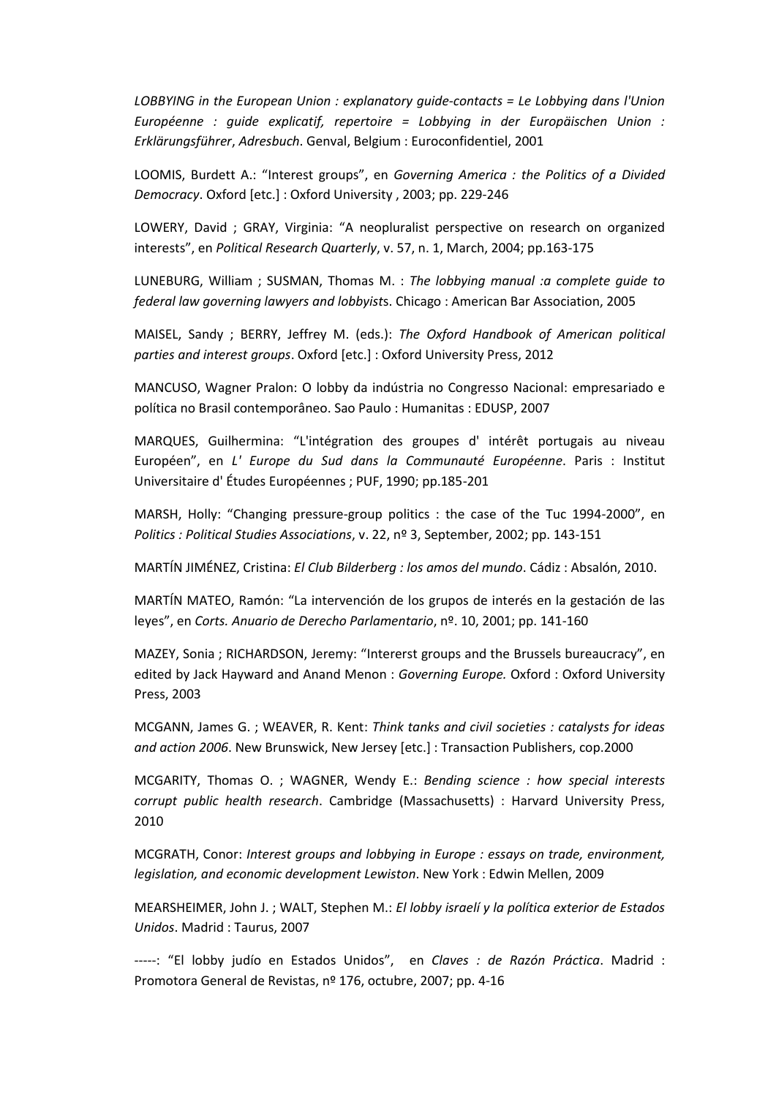*LOBBYING in the European Union : explanatory guide-contacts = Le Lobbying dans l'Union Européenne : guide explicatif, repertoire = Lobbying in der Europäischen Union : Erklärungsführer*, *Adresbuch*. Genval, Belgium : Euroconfidentiel, 2001

LOOMIS, Burdett A.: "Interest groups", en *Governing America : the Politics of a Divided Democracy*. Oxford [etc.] : Oxford University , 2003; pp. 229-246

LOWERY, David ; GRAY, Virginia: "A neopluralist perspective on research on organized interests", en *Political Research Quarterly*, v. 57, n. 1, March, 2004; pp.163-175

LUNEBURG, William ; SUSMAN, Thomas M. : *The lobbying manual :a complete guide to federal law governing lawyers and lobbyist*s. Chicago : American Bar Association, 2005

MAISEL, Sandy ; BERRY, Jeffrey M. (eds.): *The Oxford Handbook of American political parties and interest groups*. Oxford [etc.] : Oxford University Press, 2012

MANCUSO, Wagner Pralon: O lobby da indústria no Congresso Nacional: empresariado e política no Brasil contemporâneo. Sao Paulo : Humanitas : EDUSP, 2007

MARQUES, Guilhermina: "L'intégration des groupes d' intérêt portugais au niveau Européen", en *L' Europe du Sud dans la Communauté Européenne*. Paris : Institut Universitaire d' Études Européennes ; PUF, 1990; pp.185-201

MARSH, Holly: "Changing pressure-group politics : the case of the Tuc 1994-2000", en *Politics : Political Studies Associations*, v. 22, nº 3, September, 2002; pp. 143-151

MARTÍN JIMÉNEZ, Cristina: *El Club Bilderberg : los amos del mundo*. Cádiz : Absalón, 2010.

MARTÍN MATEO, Ramón: "La intervención de los grupos de interés en la gestación de las leyes", en *Corts. Anuario de Derecho Parlamentario*, nº. 10, 2001; pp. 141-160

MAZEY, Sonia ; RICHARDSON, Jeremy: "Intererst groups and the Brussels bureaucracy", en edited by Jack Hayward and Anand Menon : *Governing Europe.* Oxford : Oxford University Press, 2003

MCGANN, James G. ; WEAVER, R. Kent: *Think tanks and civil societies : catalysts for ideas and action 2006*. New Brunswick, New Jersey [etc.] : Transaction Publishers, cop.2000

MCGARITY, Thomas O. ; WAGNER, Wendy E.: *Bending science : how special interests corrupt public health research*. Cambridge (Massachusetts) : Harvard University Press, 2010

MCGRATH, Conor: *Interest groups and lobbying in Europe : essays on trade, environment, legislation, and economic development Lewiston*. New York : Edwin Mellen, 2009

MEARSHEIMER, John J. ; WALT, Stephen M.: *El lobby israelí y la política exterior de Estados Unidos*. Madrid : Taurus, 2007

-----: "El lobby judío en Estados Unidos", en *Claves : de Razón Práctica*. Madrid : Promotora General de Revistas, nº 176, octubre, 2007; pp. 4-16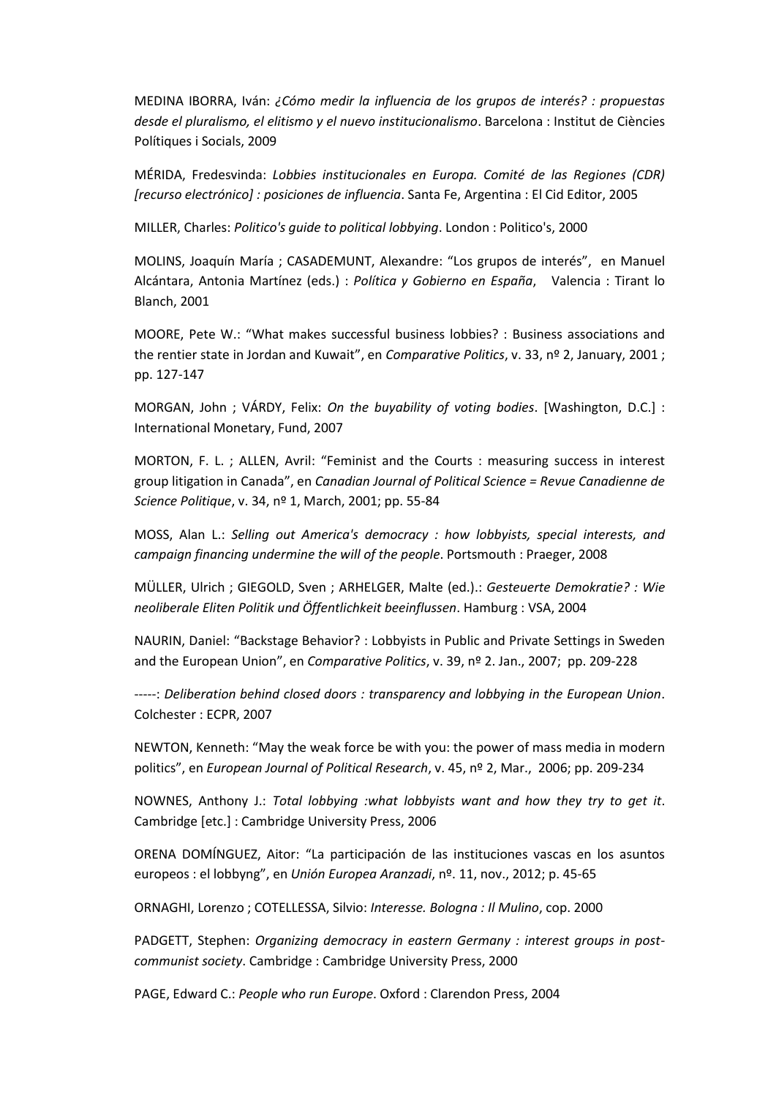MEDINA IBORRA, Iván: *¿Cómo medir la influencia de los grupos de interés? : propuestas desde el pluralismo, el elitismo y el nuevo institucionalismo*. Barcelona : Institut de Ciències Polítiques i Socials, 2009

MÉRIDA, Fredesvinda: *Lobbies institucionales en Europa. Comité de las Regiones (CDR) [recurso electrónico] : posiciones de influencia*. Santa Fe, Argentina : El Cid Editor, 2005

MILLER, Charles: *Politico's guide to political lobbying*. London : Politico's, 2000

MOLINS, Joaquín María ; CASADEMUNT, Alexandre: "Los grupos de interés", en Manuel Alcántara, Antonia Martínez (eds.) : *Política y Gobierno en España*, Valencia : Tirant lo Blanch, 2001

MOORE, Pete W.: "What makes successful business lobbies? : Business associations and the rentier state in Jordan and Kuwait", en *Comparative Politics*, v. 33, nº 2, January, 2001 ; pp. 127-147

MORGAN, John ; VÁRDY, Felix: *On the buyability of voting bodies*. [Washington, D.C.] : International Monetary, Fund, 2007

MORTON, F. L. ; ALLEN, Avril: "Feminist and the Courts : measuring success in interest group litigation in Canada", en *Canadian Journal of Political Science = Revue Canadienne de Science Politique*, v. 34, nº 1, March, 2001; pp. 55-84

MOSS, Alan L.: *Selling out America's democracy : how lobbyists, special interests, and campaign financing undermine the will of the people*. Portsmouth : Praeger, 2008

MÜLLER, Ulrich ; GIEGOLD, Sven ; ARHELGER, Malte (ed.).: *Gesteuerte Demokratie? : Wie neoliberale Eliten Politik und Öffentlichkeit beeinflussen*. Hamburg : VSA, 2004

NAURIN, Daniel: "Backstage Behavior? : Lobbyists in Public and Private Settings in Sweden and the European Union", en *Comparative Politics*, v. 39, nº 2. Jan., 2007; pp. 209-228

-----: *Deliberation behind closed doors : transparency and lobbying in the European Union*. Colchester : ECPR, 2007

NEWTON, Kenneth: "May the weak force be with you: the power of mass media in modern politics", en *European Journal of Political Research*, v. 45, nº 2, Mar., 2006; pp. 209-234

NOWNES, Anthony J.: *Total lobbying :what lobbyists want and how they try to get it*. Cambridge [etc.] : Cambridge University Press, 2006

ORENA DOMÍNGUEZ, Aitor: "La participación de las instituciones vascas en los asuntos europeos : el lobbyng", en *Unión Europea Aranzadi*, nº. 11, nov., 2012; p. 45-65

ORNAGHI, Lorenzo ; COTELLESSA, Silvio: *Interesse. Bologna : Il Mulino*, cop. 2000

PADGETT, Stephen: *Organizing democracy in eastern Germany : interest groups in postcommunist society*. Cambridge : Cambridge University Press, 2000

PAGE, Edward C.: *People who run Europe*. Oxford : Clarendon Press, 2004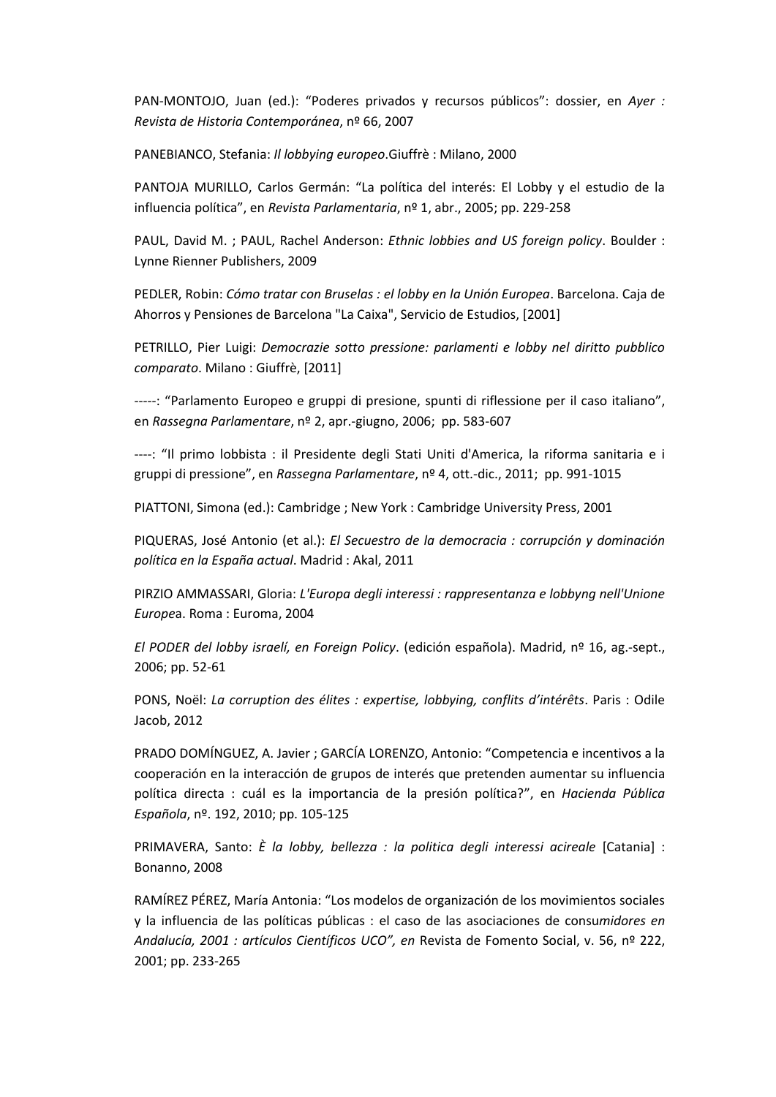PAN-MONTOJO, Juan (ed.): "Poderes privados y recursos públicos": dossier, en *Ayer : Revista de Historia Contemporánea*, nº 66, 2007

PANEBIANCO, Stefania: *Il lobbying europeo*.Giuffrè : Milano, 2000

PANTOJA MURILLO, Carlos Germán: "La política del interés: El Lobby y el estudio de la influencia política", en *Revista Parlamentaria*, nº 1, abr., 2005; pp. 229-258

PAUL, David M. ; PAUL, Rachel Anderson: *Ethnic lobbies and US foreign policy*. Boulder : Lynne Rienner Publishers, 2009

PEDLER, Robin: *Cómo tratar con Bruselas : el lobby en la Unión Europea*. Barcelona. Caja de Ahorros y Pensiones de Barcelona "La Caixa", Servicio de Estudios, [2001]

PETRILLO, Pier Luigi: *Democrazie sotto pressione: parlamenti e lobby nel diritto pubblico comparato*. Milano : Giuffrè, [2011]

-----: "Parlamento Europeo e gruppi di presione, spunti di riflessione per il caso italiano", en *Rassegna Parlamentare*, nº 2, apr.-giugno, 2006; pp. 583-607

----: "Il primo lobbista : il Presidente degli Stati Uniti d'America, la riforma sanitaria e i gruppi di pressione", en *Rassegna Parlamentare*, nº 4, ott.-dic., 2011; pp. 991-1015

PIATTONI, Simona (ed.): Cambridge ; New York : Cambridge University Press, 2001

PIQUERAS, José Antonio (et al.): *El Secuestro de la democracia : corrupción y dominación política en la España actual*. Madrid : Akal, 2011

PIRZIO AMMASSARI, Gloria: *L'Europa degli interessi : rappresentanza e lobbyng nell'Unione Europe*a. Roma : Euroma, 2004

*El PODER del lobby israelí, en Foreign Policy*. (edición española). Madrid, nº 16, ag.-sept., 2006; pp. 52-61

PONS, Noël: *La corruption des élites : expertise, lobbying, conflits d'intérêts*. Paris : Odile Jacob, 2012

PRADO DOMÍNGUEZ, A. Javier ; GARCÍA LORENZO, Antonio: "Competencia e incentivos a la cooperación en la interacción de grupos de interés que pretenden aumentar su influencia política directa : cuál es la importancia de la presión política?", en *Hacienda Pública Española*, nº. 192, 2010; pp. 105-125

PRIMAVERA, Santo: *È la lobby, bellezza : la politica degli interessi acireale* [Catania] : Bonanno, 2008

RAMÍREZ PÉREZ, María Antonia: "Los modelos de organización de los movimientos sociales y la influencia de las políticas públicas : el caso de las asociaciones de consu*midores en Andalucía, 2001 : artículos Científicos UCO", en* Revista de Fomento Social, v. 56, nº 222, 2001; pp. 233-265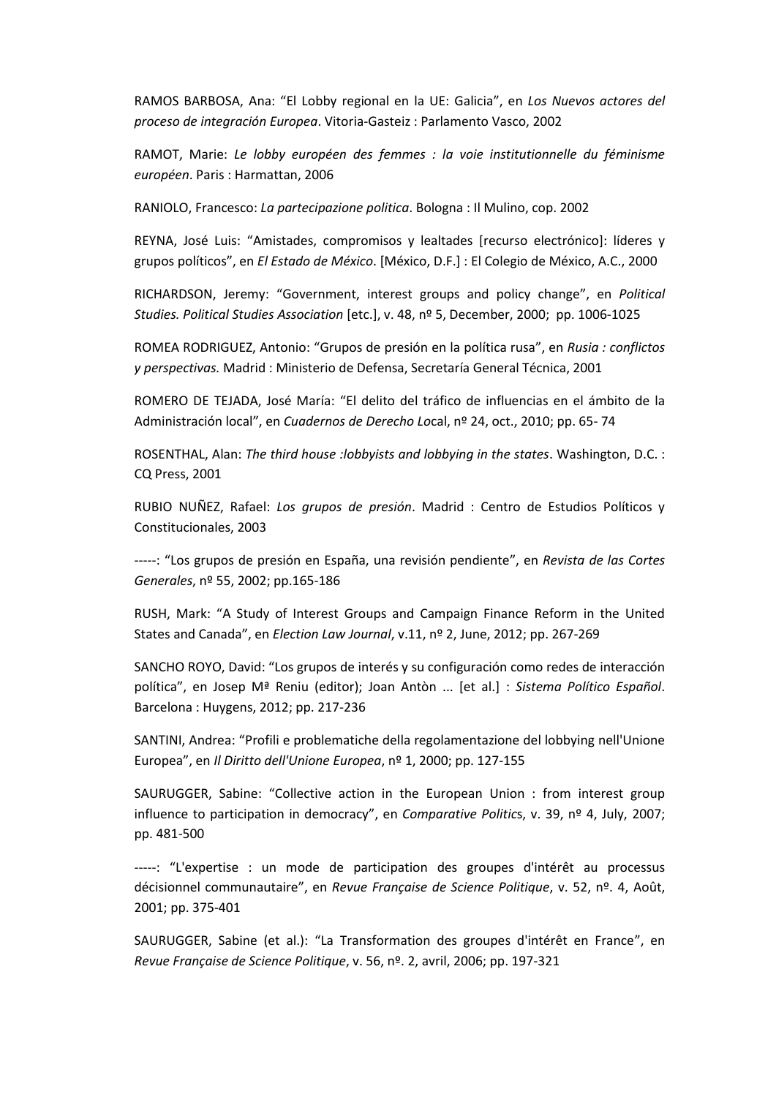RAMOS BARBOSA, Ana: "El Lobby regional en la UE: Galicia", en *Los Nuevos actores del proceso de integración Europea*. Vitoria-Gasteiz : Parlamento Vasco, 2002

RAMOT, Marie: *Le lobby européen des femmes : la voie institutionnelle du féminisme européen*. Paris : Harmattan, 2006

RANIOLO, Francesco: *La partecipazione politica*. Bologna : Il Mulino, cop. 2002

REYNA, José Luis: "Amistades, compromisos y lealtades [recurso electrónico]: líderes y grupos políticos", en *El Estado de México*. [México, D.F.] : El Colegio de México, A.C., 2000

RICHARDSON, Jeremy: "Government, interest groups and policy change", en *Political Studies. Political Studies Association* [etc.], v. 48, nº 5, December, 2000; pp. 1006-1025

ROMEA RODRIGUEZ, Antonio: "Grupos de presión en la política rusa", en *Rusia : conflictos y perspectivas.* Madrid : Ministerio de Defensa, Secretaría General Técnica, 2001

ROMERO DE TEJADA, José María: "El delito del tráfico de influencias en el ámbito de la Administración local", en *Cuadernos de Derecho Lo*cal, nº 24, oct., 2010; pp. 65- 74

ROSENTHAL, Alan: *The third house :lobbyists and lobbying in the states*. Washington, D.C. : CQ Press, 2001

RUBIO NUÑEZ, Rafael: *Los grupos de presión*. Madrid : Centro de Estudios Políticos y Constitucionales, 2003

-----: "Los grupos de presión en España, una revisión pendiente", en *Revista de las Cortes Generales*, nº 55, 2002; pp.165-186

RUSH, Mark: "A Study of Interest Groups and Campaign Finance Reform in the United States and Canada", en *Election Law Journal*, v.11, nº 2, June, 2012; pp. 267-269

SANCHO ROYO, David: "Los grupos de interés y su configuración como redes de interacción política", en Josep Mª Reniu (editor); Joan Antòn ... [et al.] : *Sistema Político Español*. Barcelona : Huygens, 2012; pp. 217-236

SANTINI, Andrea: "Profili e problematiche della regolamentazione del lobbying nell'Unione Europea", en *Il Diritto dell'Unione Europea*, nº 1, 2000; pp. 127-155

SAURUGGER, Sabine: "Collective action in the European Union : from interest group influence to participation in democracy", en *Comparative Politic*s, v. 39, nº 4, July, 2007; pp. 481-500

-----: "L'expertise : un mode de participation des groupes d'intérêt au processus décisionnel communautaire", en *Revue Française de Science Politique*, v. 52, nº. 4, Août, 2001; pp. 375-401

SAURUGGER, Sabine (et al.): "La Transformation des groupes d'intérêt en France", en *Revue Française de Science Politique*, v. 56, nº. 2, avril, 2006; pp. 197-321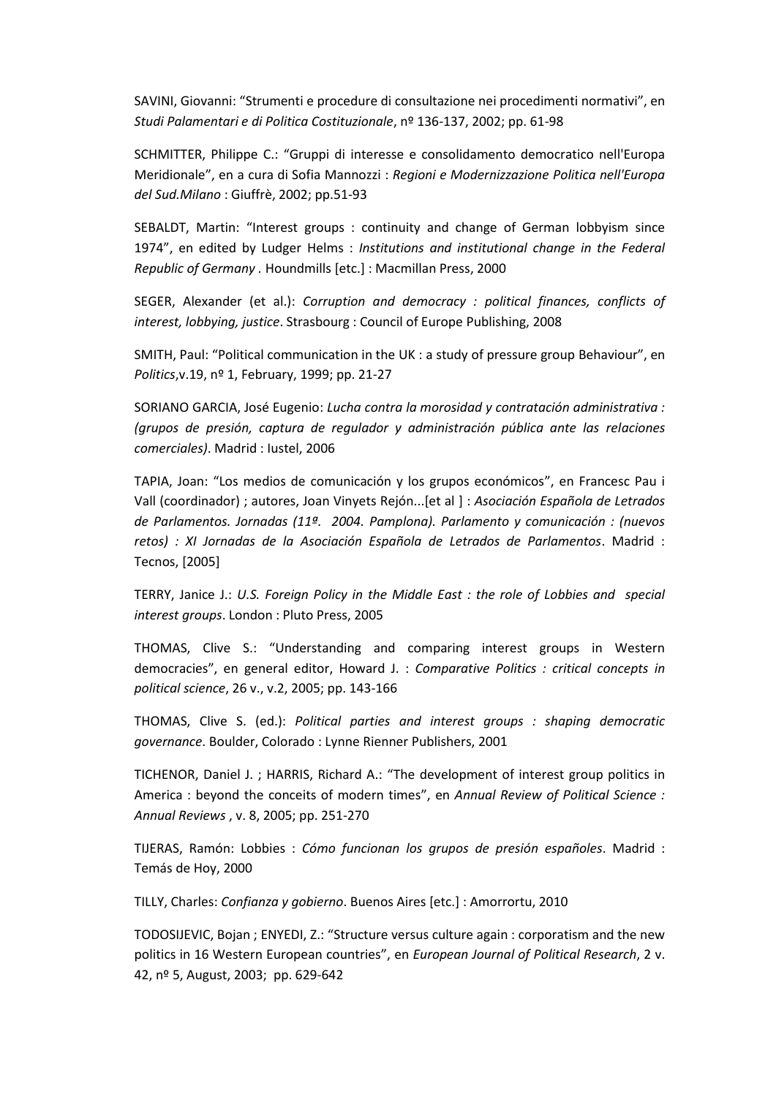SAVINI, Giovanni: "Strumenti e procedure di consultazione nei procedimenti normativi", en *Studi Palamentari e di Politica Costituzionale*, nº 136-137, 2002; pp. 61-98

SCHMITTER, Philippe C.: "Gruppi di interesse e consolidamento democratico nell'Europa Meridionale", en a cura di Sofia Mannozzi : *Regioni e Modernizzazione Politica nell'Europa del Sud.Milano* : Giuffrè, 2002; pp.51-93

SEBALDT, Martin: "Interest groups : continuity and change of German lobbyism since 1974", en edited by Ludger Helms : *Institutions and institutional change in the Federal Republic of Germany .* Houndmills [etc.] : Macmillan Press, 2000

SEGER, Alexander (et al.): *Corruption and democracy : political finances, conflicts of interest, lobbying, justice*. Strasbourg : Council of Europe Publishing, 2008

SMITH, Paul: "Political communication in the UK : a study of pressure group Behaviour", en *Politics*,v.19, nº 1, February, 1999; pp. 21-27

SORIANO GARCIA, José Eugenio: *Lucha contra la morosidad y contratación administrativa : (grupos de presión, captura de regulador y administración pública ante las relaciones comerciales)*. Madrid : Iustel, 2006

TAPIA, Joan: "Los medios de comunicación y los grupos económicos", en Francesc Pau i Vall (coordinador) ; autores, Joan Vinyets Rejón...[et al ] : *Asociación Española de Letrados de Parlamentos. Jornadas (11ª. 2004. Pamplona). Parlamento y comunicación : (nuevos retos) : XI Jornadas de la Asociación Española de Letrados de Parlamentos*. Madrid : Tecnos, [2005]

TERRY, Janice J.: *U.S. Foreign Policy in the Middle East : the role of Lobbies and special interest groups*. London : Pluto Press, 2005

THOMAS, Clive S.: "Understanding and comparing interest groups in Western democracies", en general editor, Howard J. : *Comparative Politics : critical concepts in political science*, 26 v., v.2, 2005; pp. 143-166

THOMAS, Clive S. (ed.): *Political parties and interest groups : shaping democratic governance*. Boulder, Colorado : Lynne Rienner Publishers, 2001

TICHENOR, Daniel J. ; HARRIS, Richard A.: "The development of interest group politics in America : beyond the conceits of modern times", en *Annual Review of Political Science : Annual Reviews* , v. 8, 2005; pp. 251-270

TIJERAS, Ramón: Lobbies : *Cómo funcionan los grupos de presión españoles*. Madrid : Temás de Hoy, 2000

TILLY, Charles: *Confianza y gobierno*. Buenos Aires [etc.] : Amorrortu, 2010

TODOSIJEVIC, Bojan ; ENYEDI, Z.: "Structure versus culture again : corporatism and the new politics in 16 Western European countries", en *European Journal of Political Research*, 2 v. 42, nº 5, August, 2003; pp. 629-642